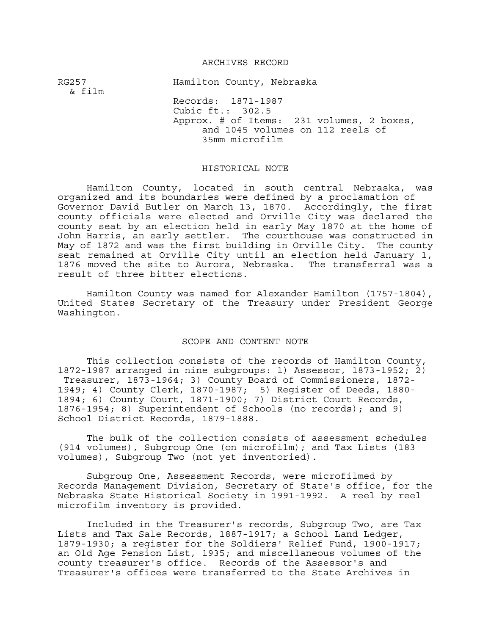## ARCHIVES RECORD

RG257 Hamilton County, Nebraska & film Records: 1871-1987 Cubic ft.: 302.5 Approx. # of Items: 231 volumes, 2 boxes, and 1045 volumes on 112 reels of 35mm microfilm

## HISTORICAL NOTE

Hamilton County, located in south central Nebraska, was organized and its boundaries were defined by a proclamation of Governor David Butler on March 13, 1870. Accordingly, the first county officials were elected and Orville City was declared the county seat by an election held in early May 1870 at the home of John Harris, an early settler. The courthouse was constructed in May of 1872 and was the first building in Orville City. The county seat remained at Orville City until an election held January 1, 1876 moved the site to Aurora, Nebraska. The transferral was a result of three bitter elections.

Hamilton County was named for Alexander Hamilton (1757-1804), United States Secretary of the Treasury under President George Washington.

## SCOPE AND CONTENT NOTE

This collection consists of the records of Hamilton County, 1872-1987 arranged in nine subgroups: 1) Assessor, 1873-1952; 2) Treasurer, 1873-1964; 3) County Board of Commissioners, 1872- 1949; 4) County Clerk, 1870-1987; 5) Register of Deeds, 1880- 1894; 6) County Court, 1871-1900; 7) District Court Records, 1876-1954; 8) Superintendent of Schools (no records); and 9) School District Records, 1879-1888.

The bulk of the collection consists of assessment schedules (914 volumes), Subgroup One (on microfilm); and Tax Lists (183 volumes), Subgroup Two (not yet inventoried).

Subgroup One, Assessment Records, were microfilmed by Records Management Division, Secretary of State's office, for the Nebraska State Historical Society in 1991-1992. A reel by reel microfilm inventory is provided.

Included in the Treasurer's records, Subgroup Two, are Tax Lists and Tax Sale Records, 1887-1917; a School Land Ledger, 1879-1930; a register for the Soldiers' Relief Fund, 1900-1917; an Old Age Pension List, 1935; and miscellaneous volumes of the county treasurer's office. Records of the Assessor's and Treasurer's offices were transferred to the State Archives in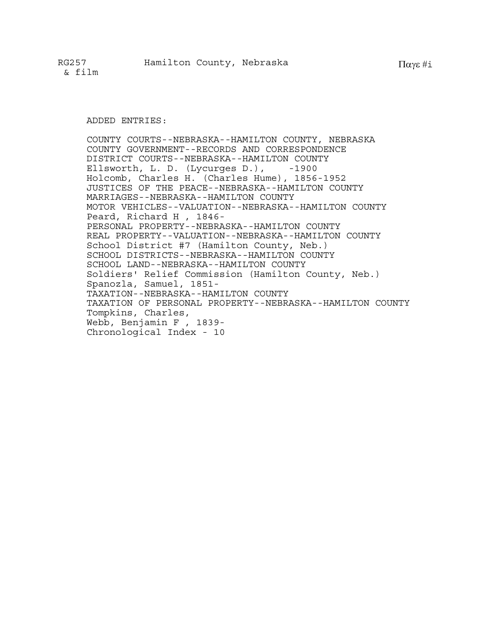ADDED ENTRIES:

COUNTY COURTS--NEBRASKA--HAMILTON COUNTY, NEBRASKA COUNTY GOVERNMENT--RECORDS AND CORRESPONDENCE DISTRICT COURTS--NEBRASKA--HAMILTON COUNTY Ellsworth, L. D. (Lycurges D.), -1900 Holcomb, Charles H. (Charles Hume), 1856-1952 JUSTICES OF THE PEACE--NEBRASKA--HAMILTON COUNTY MARRIAGES--NEBRASKA--HAMILTON COUNTY MOTOR VEHICLES--VALUATION--NEBRASKA--HAMILTON COUNTY Peard, Richard H , 1846- PERSONAL PROPERTY--NEBRASKA--HAMILTON COUNTY REAL PROPERTY--VALUATION--NEBRASKA--HAMILTON COUNTY School District #7 (Hamilton County, Neb.) SCHOOL DISTRICTS--NEBRASKA--HAMILTON COUNTY SCHOOL LAND--NEBRASKA--HAMILTON COUNTY Soldiers' Relief Commission (Hamilton County, Neb.) Spanozla, Samuel, 1851- TAXATION--NEBRASKA--HAMILTON COUNTY TAXATION OF PERSONAL PROPERTY--NEBRASKA--HAMILTON COUNTY Tompkins, Charles, Webb, Benjamin F , 1839- Chronological Index - 10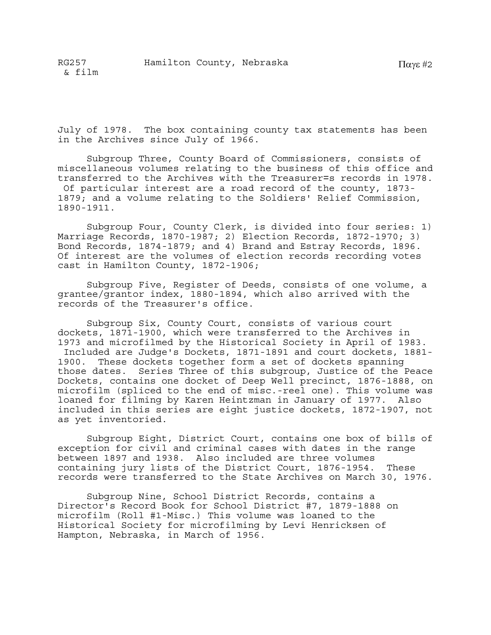July of 1978. The box containing county tax statements has been in the Archives since July of 1966.

Subgroup Three, County Board of Commissioners, consists of miscellaneous volumes relating to the business of this office and transferred to the Archives with the Treasurer=s records in 1978. Of particular interest are a road record of the county, 1873- 1879; and a volume relating to the Soldiers' Relief Commission, 1890-1911.

Subgroup Four, County Clerk, is divided into four series: 1) Marriage Records, 1870-1987; 2) Election Records, 1872-1970; 3) Bond Records, 1874-1879; and 4) Brand and Estray Records, 1896. Of interest are the volumes of election records recording votes cast in Hamilton County, 1872-1906;

Subgroup Five, Register of Deeds, consists of one volume, a grantee/grantor index, 1880-1894, which also arrived with the records of the Treasurer's office.

Subgroup Six, County Court, consists of various court dockets, 1871-1900, which were transferred to the Archives in 1973 and microfilmed by the Historical Society in April of 1983. Included are Judge's Dockets, 1871-1891 and court dockets, 1881- 1900. These dockets together form a set of dockets spanning those dates. Series Three of this subgroup, Justice of the Peace Dockets, contains one docket of Deep Well precinct, 1876-1888, on microfilm (spliced to the end of misc.-reel one). This volume was loaned for filming by Karen Heintzman in January of 1977. Also included in this series are eight justice dockets, 1872-1907, not as yet inventoried.

Subgroup Eight, District Court, contains one box of bills of exception for civil and criminal cases with dates in the range between 1897 and 1938. Also included are three volumes containing jury lists of the District Court, 1876-1954. These records were transferred to the State Archives on March 30, 1976.

Subgroup Nine, School District Records, contains a Director's Record Book for School District #7, 1879-1888 on microfilm (Roll #1-Misc.) This volume was loaned to the Historical Society for microfilming by Levi Henricksen of Hampton, Nebraska, in March of 1956.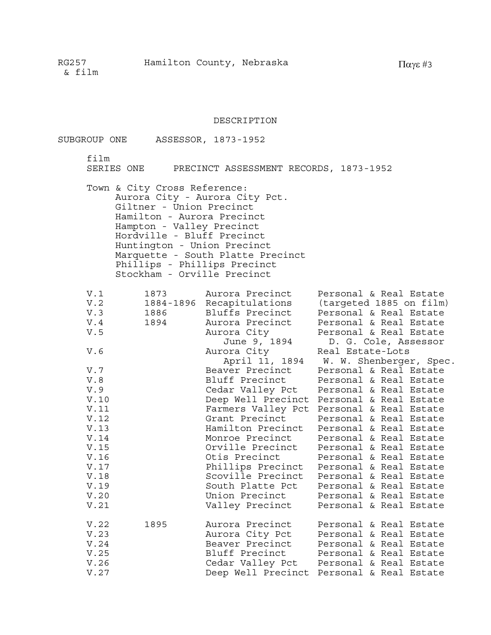## DESCRIPTION

| SUBGROUP ONE |                                                                                                                                                                                                                                                 | ASSESSOR, 1873-1952                                                 |                                                                                                             |
|--------------|-------------------------------------------------------------------------------------------------------------------------------------------------------------------------------------------------------------------------------------------------|---------------------------------------------------------------------|-------------------------------------------------------------------------------------------------------------|
| film         |                                                                                                                                                                                                                                                 | SERIES ONE PRECINCT ASSESSMENT RECORDS, 1873-1952                   |                                                                                                             |
|              | Town & City Cross Reference:<br>Giltner - Union Precinct<br>Hamilton - Aurora Precinct<br>Hampton - Valley Precinct<br>Hordville - Bluff Precinct<br>Huntington - Union Precinct<br>Phillips - Phillips Precinct<br>Stockham - Orville Precinct | Aurora City - Aurora City Pct.<br>Marquette - South Platte Precinct |                                                                                                             |
| V.1          |                                                                                                                                                                                                                                                 | 1873 Murora Precinct                                                | Personal & Real Estate                                                                                      |
| V.2          |                                                                                                                                                                                                                                                 | 1884-1896 Recapitulations                                           | (targeted 1885 on film)                                                                                     |
| V.3          | 1886 - 1890                                                                                                                                                                                                                                     | Bluffs Precinct                                                     | Personal & Real Estate                                                                                      |
| V.4          | 1894 1895                                                                                                                                                                                                                                       | Aurora Precinct                                                     | Personal & Real Estate                                                                                      |
| V.5          |                                                                                                                                                                                                                                                 | Aurora City                                                         | Personal & Real Estate                                                                                      |
| V.6          |                                                                                                                                                                                                                                                 | June 9, 1894<br>Aurora City                                         | D. G. Cole, Assessor<br>ora City             Real Estate-Lots<br>April 11, 1894     W. W. Shenberger, Spec. |
| V.7          |                                                                                                                                                                                                                                                 | Beaver Precinct                                                     | Personal & Real Estate                                                                                      |
| V.8          |                                                                                                                                                                                                                                                 | Bluff Precinct                                                      | Personal & Real Estate                                                                                      |
| V.9          |                                                                                                                                                                                                                                                 | Cedar Valley Pct                                                    | Personal & Real Estate                                                                                      |
| V.10         |                                                                                                                                                                                                                                                 |                                                                     | Deep Well Precinct Personal & Real Estate                                                                   |
| V.11         |                                                                                                                                                                                                                                                 |                                                                     | Farmers Valley Pct Personal & Real Estate                                                                   |
| V.12         |                                                                                                                                                                                                                                                 | Grant Precinct                                                      | Personal & Real Estate                                                                                      |
| V.13         |                                                                                                                                                                                                                                                 | Hamilton Precinct                                                   | Personal & Real Estate                                                                                      |
| V.14         |                                                                                                                                                                                                                                                 | Monroe Precinct                                                     | Personal & Real Estate                                                                                      |
| V.15         |                                                                                                                                                                                                                                                 |                                                                     | Orville Precinct Personal & Real Estate                                                                     |
| V.16         |                                                                                                                                                                                                                                                 |                                                                     | Otis Precinct Personal & Real Estate                                                                        |
| V.17         |                                                                                                                                                                                                                                                 |                                                                     | Phillips Precinct Personal & Real Estate                                                                    |
| V.18         |                                                                                                                                                                                                                                                 |                                                                     | Scoville Precinct Personal & Real Estate                                                                    |
| V.19         |                                                                                                                                                                                                                                                 | South Platte Pct                                                    | Personal & Real Estate                                                                                      |
| V.20         |                                                                                                                                                                                                                                                 | Union Precinct                                                      | Personal & Real Estate                                                                                      |
| V.21         |                                                                                                                                                                                                                                                 | Valley Precinct                                                     | Personal & Real Estate                                                                                      |
| V.22         | 1895                                                                                                                                                                                                                                            | Aurora Precinct                                                     | Personal & Real Estate                                                                                      |
| V.23         |                                                                                                                                                                                                                                                 | Aurora City Pct                                                     | Personal & Real Estate                                                                                      |
| V.24         |                                                                                                                                                                                                                                                 | Beaver Precinct                                                     | Personal & Real Estate                                                                                      |
| V.25         |                                                                                                                                                                                                                                                 | Bluff Precinct                                                      | Personal & Real Estate                                                                                      |
| V.26         |                                                                                                                                                                                                                                                 | Cedar Valley Pct                                                    | Personal & Real Estate                                                                                      |
| V.27         |                                                                                                                                                                                                                                                 |                                                                     | Deep Well Precinct Personal & Real Estate                                                                   |
|              |                                                                                                                                                                                                                                                 |                                                                     |                                                                                                             |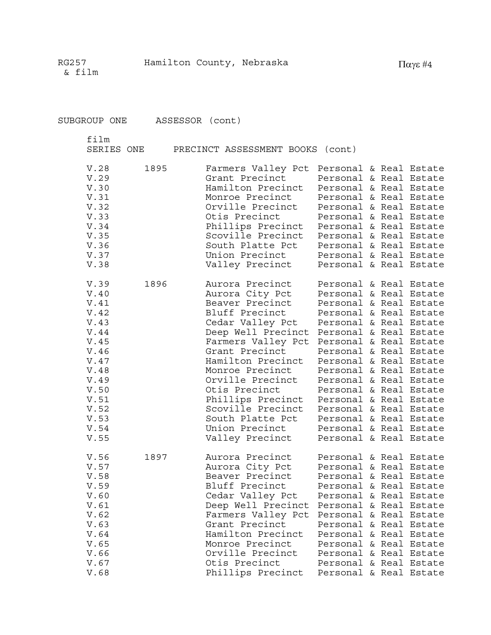| SUBGROUP ONE ASSESSOR (cont)                                                                                                         |      |                                                                                                                                                                                                                                                                                                                                                                                                                |  |                                                                                                                                                                                                                                                                                                                                                                          |
|--------------------------------------------------------------------------------------------------------------------------------------|------|----------------------------------------------------------------------------------------------------------------------------------------------------------------------------------------------------------------------------------------------------------------------------------------------------------------------------------------------------------------------------------------------------------------|--|--------------------------------------------------------------------------------------------------------------------------------------------------------------------------------------------------------------------------------------------------------------------------------------------------------------------------------------------------------------------------|
| film<br>SERIES ONE                                                                                                                   |      | PRECINCT ASSESSMENT BOOKS (cont)                                                                                                                                                                                                                                                                                                                                                                               |  |                                                                                                                                                                                                                                                                                                                                                                          |
| V.28<br>V.29<br>V.30<br>V.31<br>V.32<br>V.33<br>V.34<br>V.35<br>V.36<br>V.37<br>V.38                                                 | 1895 | Farmers Valley Pct Personal & Real Estate<br>Grant Precinct<br>Hamilton Precinct<br>Monroe Precinct<br>Orville Precinct<br>Otis Precinct<br>Phillips Precinct Personal & Real Estate<br>Scoville Precinct<br>South Platte Pct<br>Union Precinct<br>Valley Precinct                                                                                                                                             |  | Personal & Real Estate<br>Personal & Real Estate<br>Personal & Real Estate<br>Personal & Real Estate<br>Personal & Real Estate<br>Personal & Real Estate<br>Personal & Real Estate<br>Personal & Real Estate<br>Personal & Real Estate                                                                                                                                   |
| V.39<br>V.40<br>V.41<br>V.42<br>V.43<br>V.44<br>V.45<br>V.46<br>V.47<br>V.48<br>V.49<br>V.50<br>V.51<br>V.52<br>V.53<br>V.54<br>V.55 | 1896 | Aurora Precinct<br>Aurora City Pct<br>Beaver Precinct<br>Bluff Precinct<br>Cedar Valley Pct<br>Deep Well Precinct Personal & Real Estate<br>Farmers Valley Pct Personal & Real Estate<br>Grant Precinct<br>Hamilton Precinct<br>Monroe Precinct<br>Orville Precinct<br>Otis Precinct<br>Phillips Precinct Personal & Real Estate<br>Scoville Precinct<br>South Platte Pct<br>Union Precinct<br>Valley Precinct |  | Personal & Real Estate<br>Personal & Real Estate<br>Personal & Real Estate<br>Personal & Real Estate<br>Personal & Real Estate<br>Personal & Real Estate<br>Personal & Real Estate<br>Personal & Real Estate<br>Personal & Real Estate<br>Personal & Real Estate<br>Personal & Real Estate<br>Personal & Real Estate<br>Personal & Real Estate<br>Personal & Real Estate |
| V.56<br>V.57<br>V.58<br>V.59<br>V.60<br>V.61<br>V.62<br>V.63<br>V.64<br>V.65<br>V.66<br>V.67<br>V.68                                 | 1897 | Aurora Precinct<br>Aurora City Pct<br>Beaver Precinct<br>Bluff Precinct<br>Cedar Valley Pct<br>Deep Well Precinct<br>Farmers Valley Pct<br>Grant Precinct<br>Hamilton Precinct<br>Monroe Precinct<br>Orville Precinct<br>Otis Precinct<br>Phillips Precinct                                                                                                                                                    |  | Personal & Real Estate<br>Personal & Real Estate<br>Personal & Real Estate<br>Personal & Real Estate<br>Personal & Real Estate<br>Personal & Real Estate<br>Personal & Real Estate<br>Personal & Real Estate<br>Personal & Real Estate<br>Personal & Real Estate<br>Personal & Real Estate<br>Personal & Real Estate<br>Personal & Real Estate                           |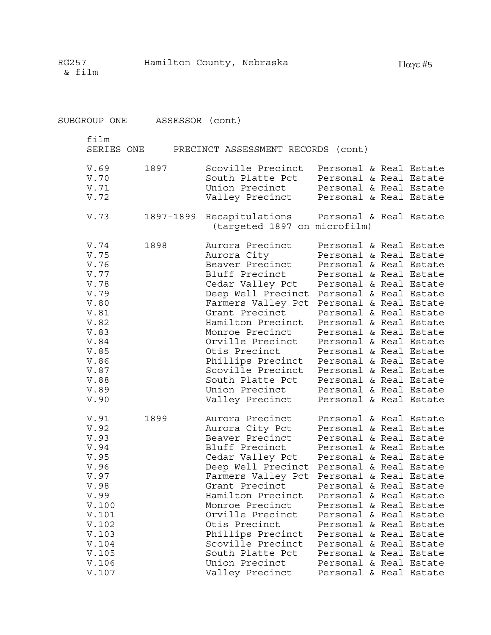SUBGROUP ONE ASSESSOR (cont) film SERIES ONE PRECINCT ASSESSMENT RECORDS (cont) V.69 1897 Scoville Precinct Personal & Real Estate V.70 South Platte Pct Personal & Real Estate V.71 Union Precinct Personal & Real Estate V.72 Valley Precinct Personal & Real Estate V.73 1897-1899 Recapitulations Personal & Real Estate (targeted 1897 on microfilm) V.74 1898 Aurora Precinct Personal & Real Estate V.75 Aurora City Personal & Real Estate V.76 Beaver Precinct Personal & Real Estate V.77 Bluff Precinct Personal & Real Estate V.78 Cedar Valley Pct Personal & Real Estate V.79 Deep Well Precinct Personal & Real Estate V.80 Farmers Valley Pct Personal & Real Estate V.81 Grant Precinct<br>
V.82 Hamilton Precinct Personal & Real Estate<br>
Hamilton Precinct Personal & Real Estate Hamilton Precinct Personal & Real Estate V.83 Monroe Precinct Personal & Real Estate V.84 Orville Precinct Personal & Real Estate V.85 Otis Precinct Personal & Real Estate V.86 Phillips Precinct Personal & Real Estate V.87 Scoville Precinct Personal & Real Estate V.88 South Platte Pct Personal & Real Estate V.89 Union Precinct Personal & Real Estate V.90 Valley Precinct Personal & Real Estate V.91 1899 Aurora Precinct Personal & Real Estate V.92 Aurora City Pct Personal & Real Estate V.93 Beaver Precinct Personal & Real Estate V.94 Bluff Precinct Personal & Real Estate V.95 Cedar Valley Pct Personal & Real Estate V.96 Deep Well Precinct Personal & Real Estate V.97 Farmers Valley Pct Personal & Real Estate V.98 Grant Precinct Personal & Real Estate V.99 Hamilton Precinct Personal & Real Estate V.100 Monroe Precinct Personal & Real Estate V.101 Orville Precinct Personal & Real Estate V.102 Otis Precinct Personal & Real Estate V.103 Phillips Precinct Personal & Real Estate V.104 Scoville Precinct Personal & Real Estate V.105 South Platte Pct Personal & Real Estate V.106 Union Precinct Personal & Real Estate

V.107 Valley Precinct Personal & Real Estate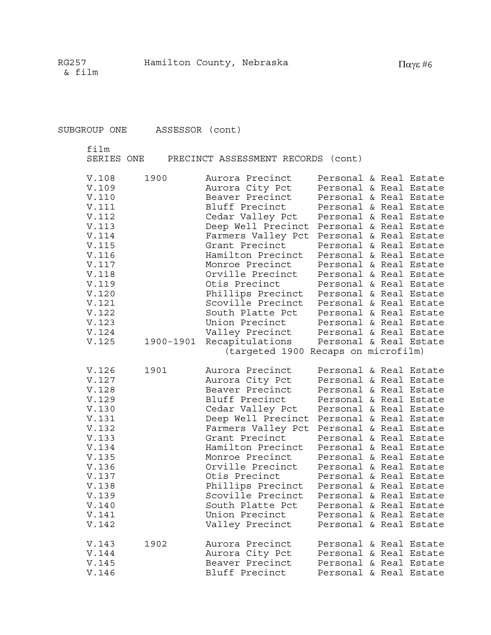SUBGROUP ONE ASSESSOR (cont)

film

SERIES ONE PRECINCT ASSESSMENT RECORDS (cont)

| V.108<br>V.109<br>V.110<br><b>V.111</b><br>V.112<br>V.113<br>V.114<br>V.115<br>V.116<br>V.117<br>V.118<br>V.119<br>V.120<br>V.121<br>V.122<br>V.123<br>V.124<br>V.125 | 1900<br>1900-1901 | Aurora Precinct<br>Aurora City Pct<br>Beaver Precinct<br>Bluff Precinct<br>Cedar Valley Pct<br>Deep Well Precinct<br>Farmers Valley Pct<br>Grant Precinct<br>Hamilton Precinct<br>Monroe Precinct<br>Orville Precinct<br>Otis Precinct<br>Phillips Precinct<br>Scoville Precinct<br>South Platte Pct<br>Union Precinct<br>Valley Precinct<br>Recapitulations<br>(targeted 1900 Recaps on microfilm) | Personal & Real Estate<br>Personal & Real Estate<br>Personal & Real Estate<br>Personal & Real Estate<br>Personal & Real Estate<br>Personal & Real Estate<br>Personal & Real Estate<br>Personal & Real Estate<br>Personal & Real Estate<br>Personal & Real Estate<br>Personal & Real Estate<br>Personal & Real Estate<br>Personal & Real Estate<br>Personal & Real Estate<br>Personal & Real Estate<br>Personal & Real Estate<br>Personal & Real Estate<br>Personal & Real Estate |  |  |
|-----------------------------------------------------------------------------------------------------------------------------------------------------------------------|-------------------|-----------------------------------------------------------------------------------------------------------------------------------------------------------------------------------------------------------------------------------------------------------------------------------------------------------------------------------------------------------------------------------------------------|----------------------------------------------------------------------------------------------------------------------------------------------------------------------------------------------------------------------------------------------------------------------------------------------------------------------------------------------------------------------------------------------------------------------------------------------------------------------------------|--|--|
| V.126<br>V.127<br>V.128<br>V.129<br>V.130<br>V.131<br>V.132<br>V.133<br>V.134<br>V.135<br>V.136<br>V.137<br>V.138<br>V.139<br>V.140<br>V.141<br>V.142                 | 1901              | Aurora Precinct<br>Aurora City Pct<br>Beaver Precinct<br>Bluff Precinct<br>Cedar Valley Pct<br>Deep Well Precinct<br>Farmers Valley Pct<br>Grant Precinct<br>Hamilton Precinct<br>Monroe Precinct<br>Orville Precinct<br>Otis Precinct<br>Phillips Precinct<br>Scoville Precinct<br>South Platte Pct<br>Union Precinct<br>Valley Precinct                                                           | Personal & Real Estate<br>Personal & Real Estate<br>Personal & Real Estate<br>Personal & Real Estate<br>Personal & Real Estate<br>Personal & Real Estate<br>Personal & Real Estate<br>Personal & Real Estate<br>Personal & Real Estate<br>Personal & Real Estate<br>Personal & Real Estate<br>Personal & Real Estate<br>Personal & Real Estate<br>Personal & Real Estate<br>Personal & Real Estate<br>Personal & Real Estate<br>Personal & Real Estate                           |  |  |
| V.143<br>V.144<br>V.145<br>V.146                                                                                                                                      | 1902              | Aurora Precinct<br>Aurora City Pct<br>Beaver Precinct<br>Bluff Precinct                                                                                                                                                                                                                                                                                                                             | Personal & Real Estate<br>Personal & Real Estate<br>Personal & Real Estate<br>Personal & Real Estate                                                                                                                                                                                                                                                                                                                                                                             |  |  |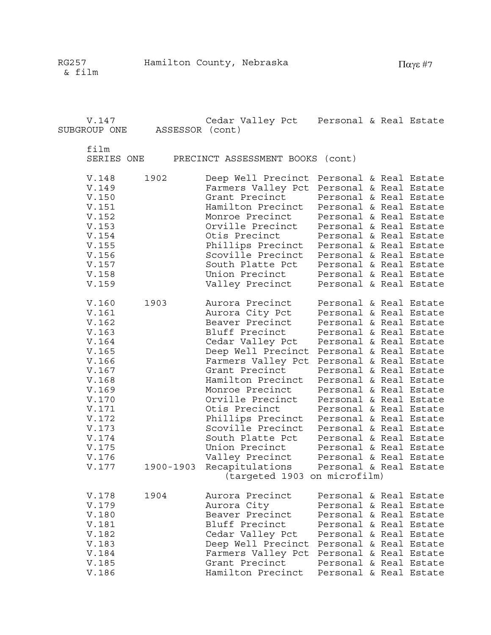V.147 Cedar Valley Pct Personal & Real Estate

SUBGROUP ONE ASSESSOR (cont)

film<br>SERIE

| SERIES ONE |  | PRECINCT ASSESSMENT BOOKS (cont) |  |  |
|------------|--|----------------------------------|--|--|
|------------|--|----------------------------------|--|--|

| V.148<br>V.149<br>V.150<br>V.151<br>V.152<br>V.153<br>V.154<br>V.155                                                                                           | 1902              | Deep Well Precinct Personal & Real Estate<br>Farmers Valley Pct<br>Grant Precinct<br>Hamilton Precinct<br>Monroe Precinct<br>Orville Precinct<br>Otis Precinct<br>Phillips Precinct                                                                                                                                                                                                          | Personal & Real Estate<br>Personal & Real Estate<br>Personal & Real Estate<br>Personal & Real Estate<br>Personal & Real Estate<br>Personal & Real Estate<br>Personal & Real Estate                                                                                                                                                                                                                                                                                               |  |  |
|----------------------------------------------------------------------------------------------------------------------------------------------------------------|-------------------|----------------------------------------------------------------------------------------------------------------------------------------------------------------------------------------------------------------------------------------------------------------------------------------------------------------------------------------------------------------------------------------------|----------------------------------------------------------------------------------------------------------------------------------------------------------------------------------------------------------------------------------------------------------------------------------------------------------------------------------------------------------------------------------------------------------------------------------------------------------------------------------|--|--|
| V.156<br>V.157<br>V.158<br>V.159                                                                                                                               |                   | Scoville Precinct<br>South Platte Pct<br>Union Precinct<br>Valley Precinct                                                                                                                                                                                                                                                                                                                   | Personal & Real Estate<br>Personal & Real Estate<br>Personal & Real Estate<br>Personal & Real Estate                                                                                                                                                                                                                                                                                                                                                                             |  |  |
| V.160<br>V.161<br>V.162<br>V.163<br>V.164<br>V.165<br>V.166<br>V.167<br>V.168<br>V.169<br>V.170<br>V.171<br>V.172<br>V.173<br>V.174<br>V.175<br>V.176<br>V.177 | 1903<br>1900-1903 | Aurora Precinct<br>Aurora City Pct<br>Beaver Precinct<br>Bluff Precinct<br>Cedar Valley Pct<br>Deep Well Precinct<br>Farmers Valley Pct<br>Grant Precinct<br>Hamilton Precinct<br>Monroe Precinct<br>Orville Precinct<br>Otis Precinct<br>Phillips Precinct<br>Scoville Precinct<br>South Platte Pct<br>Union Precinct<br>Valley Precinct<br>Recapitulations<br>(targeted 1903 on microfilm) | Personal & Real Estate<br>Personal & Real Estate<br>Personal & Real Estate<br>Personal & Real Estate<br>Personal & Real Estate<br>Personal & Real Estate<br>Personal & Real Estate<br>Personal & Real Estate<br>Personal & Real Estate<br>Personal & Real Estate<br>Personal & Real Estate<br>Personal & Real Estate<br>Personal & Real Estate<br>Personal & Real Estate<br>Personal & Real Estate<br>Personal & Real Estate<br>Personal & Real Estate<br>Personal & Real Estate |  |  |
| V.178<br>V.179<br>V.180<br>V.181<br>V.182<br>V.183<br>V.184<br>V.185<br>V.186                                                                                  | 1904              | Aurora Precinct<br>Aurora City<br>Beaver Precinct<br>Bluff Precinct<br>Cedar Valley Pct<br>Deep Well Precinct<br>Farmers Valley Pct<br>Grant Precinct<br>Hamilton Precinct                                                                                                                                                                                                                   | Personal & Real Estate<br>Personal & Real Estate<br>Personal & Real Estate<br>Personal & Real Estate<br>Personal & Real Estate<br>Personal & Real Estate<br>Personal & Real Estate<br>Personal & Real Estate<br>Personal & Real Estate                                                                                                                                                                                                                                           |  |  |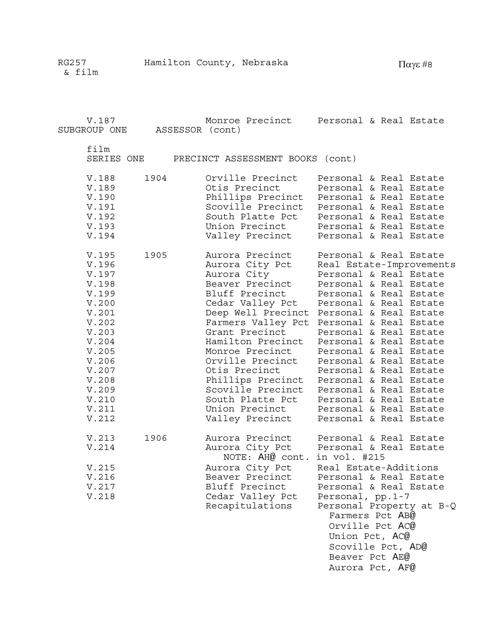V.187 Monroe Precinct Personal & Real Estate SUBGROUP ONE ASSESSOR (cont) film SERIES ONE PRECINCT ASSESSMENT BOOKS (cont) V.188 1904 Orville Precinct Personal & Real Estate V.189 Otis Precinct Personal & Real Estate V.190 Phillips Precinct Personal & Real Estate V.191 Scoville Precinct Personal & Real Estate<br>V.192 South Platte Pct Personal & Real Estate V.192 South Platte Pct Personal & Real Estate V.193 Union Precinct Personal & Real Estate V.194 Valley Precinct Personal & Real Estate V.195 1905 Aurora Precinct Personal & Real Estate V.196 Aurora City Pct Real Estate-Improvements V.197 Aurora City Personal & Real Estate V.198 Beaver Precinct Personal & Real Estate V.199 Bluff Precinct Personal & Real Estate V.200 Cedar Valley Pct Personal & Real Estate V.201 Deep Well Precinct Personal & Real Estate V.202 Farmers Valley Pct Personal & Real Estate V.203 Grant Precinct Personal & Real Estate V.204 Hamilton Precinct Personal & Real Estate V.205 Monroe Precinct Personal & Real Estate V.206 Orville Precinct Personal & Real Estate V.207 Otis Precinct Personal & Real Estate V.208 Phillips Precinct Personal & Real Estate V.209 Scoville Precinct Personal & Real Estate V.210 South Platte Pct Personal & Real Estate V.211 Union Precinct Personal & Real Estate V.212 Valley Precinct Personal & Real Estate V.213 1906 Aurora Precinct Personal & Real Estate V.214 Aurora City Pct Personal & Real Estate NOTE: AH@ cont. in vol. #215 V.215 Aurora City Pct Real Estate-Additions V.216 Beaver Precinct Personal & Real Estate V.217 Bluff Precinct Personal & Real Estate V.218 Cedar Valley Pct Personal, pp.1-7 Recapitulations Personal Property at B-Q Farmers Pct AB@ Orville Pct AC@

 Union Pct, AC@ Scoville Pct, AD@ Beaver Pct AE@ Aurora Pct, AF@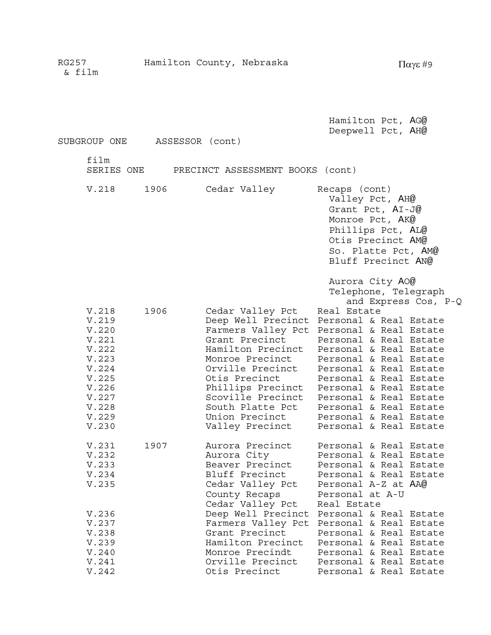| SUBGROUP ONE                                                                                                      | ASSESSOR (cont) |                                                                                                                                                                                                                                                                         | Hamilton Pct, AG@<br>Deepwell Pct, AH@                                                                                                                                                                                                                                                                                                                                                                                |
|-------------------------------------------------------------------------------------------------------------------|-----------------|-------------------------------------------------------------------------------------------------------------------------------------------------------------------------------------------------------------------------------------------------------------------------|-----------------------------------------------------------------------------------------------------------------------------------------------------------------------------------------------------------------------------------------------------------------------------------------------------------------------------------------------------------------------------------------------------------------------|
| film                                                                                                              |                 | SERIES ONE PRECINCT ASSESSMENT BOOKS (cont)                                                                                                                                                                                                                             |                                                                                                                                                                                                                                                                                                                                                                                                                       |
| V.218                                                                                                             | 1906            | Cedar Valley                                                                                                                                                                                                                                                            | Recaps (cont)<br>Valley Pct, AH@<br>Grant Pct, AI-J@<br>Monroe Pct, AK@<br>Phillips Pct, AL@<br>Otis Precinct AM@<br>So. Platte Pct, AM@<br>Bluff Precinct AN@                                                                                                                                                                                                                                                        |
| V.218<br>V.219<br>V.220<br>V.221<br>V.222<br>V.223<br>V.224<br>V.225<br>V.226<br>V.227<br>V.228<br>V.229<br>V.230 | 1906            | Cedar Valley Pct<br>Deep Well Precinct<br>Farmers Valley Pct<br>Grant Precinct<br>Hamilton Precinct<br>Monroe Precinct<br>Orville Precinct<br>Otis Precinct<br>Phillips Precinct<br>Scoville Precinct<br>South Platte Pct<br>Valley Precinct                            | Aurora City AO@<br>Telephone, Telegraph<br>and Express Cos, P-Q<br>Real Estate<br>Personal & Real Estate<br>Personal & Real Estate<br>Personal & Real Estate<br>Personal & Real Estate<br>Personal & Real Estate<br>Personal & Real Estate<br>Personal & Real Estate<br>Personal & Real Estate<br>Personal & Real Estate<br>Personal & Real Estate<br>Union Precinct Personal & Real Estate<br>Personal & Real Estate |
| V.231<br>V.232<br>V.233<br>V.234<br>V.235<br>V.236<br>V.237<br>V.238<br>V.239<br>V.240<br>V.241<br>V.242          | 1907            | Aurora Precinct<br>Aurora City<br>Beaver Precinct<br>Bluff Precinct<br>Cedar Valley Pct<br>County Recaps<br>Cedar Valley Pct<br>Deep Well Precinct<br>Farmers Valley Pct<br>Grant Precinct<br>Hamilton Precinct<br>Monroe Precindt<br>Orville Precinct<br>Otis Precinct | Personal & Real Estate<br>Personal & Real Estate<br>Personal & Real Estate<br>Personal & Real Estate<br>Personal A-Z at AA@<br>Personal at A-U<br>Real Estate<br>Personal & Real Estate<br>Personal & Real Estate<br>Personal & Real Estate<br>Personal & Real Estate<br>Personal & Real Estate<br>Personal & Real Estate<br>Personal & Real Estate                                                                   |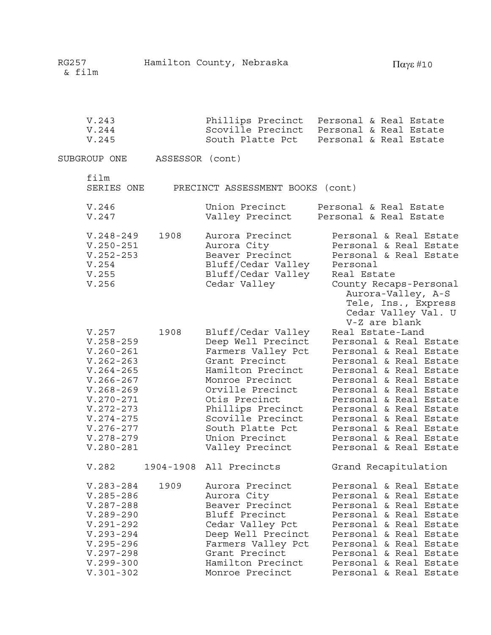| V.243                                                                      |                 | Phillips Precinct                                                                                             | Personal & Real Estate                                                                                                                                                                                               |
|----------------------------------------------------------------------------|-----------------|---------------------------------------------------------------------------------------------------------------|----------------------------------------------------------------------------------------------------------------------------------------------------------------------------------------------------------------------|
| V.244                                                                      |                 | Scoville Precinct                                                                                             | Personal & Real Estate                                                                                                                                                                                               |
| V.245                                                                      |                 | South Platte Pct                                                                                              | Personal & Real Estate                                                                                                                                                                                               |
| SUBGROUP ONE                                                               | ASSESSOR (cont) |                                                                                                               |                                                                                                                                                                                                                      |
| film<br>SERIES ONE                                                         |                 | PRECINCT ASSESSMENT BOOKS (cont)                                                                              |                                                                                                                                                                                                                      |
| V.246                                                                      |                 | Union Precinct                                                                                                | Personal & Real Estate                                                                                                                                                                                               |
| V.247                                                                      |                 | Valley Precinct                                                                                               | Personal & Real Estate                                                                                                                                                                                               |
| $V.248 - 249$<br>$V.250 - 251$<br>$V.252 - 253$<br>V.254<br>V.255<br>V.256 | 1908            | Aurora Precinct<br>Aurora City<br>Beaver Precinct<br>Bluff/Cedar Valley<br>Bluff/Cedar Valley<br>Cedar Valley | Personal & Real Estate<br>Personal & Real Estate<br>Personal & Real Estate<br>Personal<br>Real Estate<br>County Recaps-Personal<br>Aurora-Valley, A-S<br>Tele, Ins., Express<br>Cedar Valley Val. U<br>V-Z are blank |
| V.257                                                                      | 1908            | Bluff/Cedar Valley                                                                                            | Real Estate-Land                                                                                                                                                                                                     |
| $V.258 - 259$                                                              |                 | Deep Well Precinct                                                                                            | Personal & Real Estate                                                                                                                                                                                               |
| $V.260 - 261$                                                              |                 | Farmers Valley Pct                                                                                            | Personal & Real Estate                                                                                                                                                                                               |
| $V.262 - 263$                                                              |                 | Grant Precinct                                                                                                | Personal & Real Estate                                                                                                                                                                                               |
| $V.264 - 265$                                                              |                 | Hamilton Precinct                                                                                             | Personal & Real Estate                                                                                                                                                                                               |
| $V.266 - 267$                                                              |                 | Monroe Precinct                                                                                               | Personal & Real Estate                                                                                                                                                                                               |
| $V.268 - 269$                                                              |                 | Orville Precinct                                                                                              | Personal & Real Estate                                                                                                                                                                                               |
| $V.270 - 271$                                                              |                 | Otis Precinct                                                                                                 | Personal & Real Estate                                                                                                                                                                                               |
| $V.272 - 273$                                                              |                 | Phillips Precinct                                                                                             | Personal & Real Estate                                                                                                                                                                                               |
| $V.274 - 275$                                                              |                 | Scoville Precinct                                                                                             | Personal & Real Estate                                                                                                                                                                                               |
| $V.276 - 277$                                                              |                 | South Platte Pct                                                                                              | Personal & Real Estate                                                                                                                                                                                               |
| $V.278 - 279$                                                              |                 | Union Precinct                                                                                                | Personal & Real Estate                                                                                                                                                                                               |
| $V.280 - 281$                                                              |                 | Valley Precinct                                                                                               | Personal & Real Estate                                                                                                                                                                                               |
| V.282                                                                      |                 | 1904-1908 All Precincts                                                                                       | Grand Recapitulation                                                                                                                                                                                                 |
| $V.283 - 284$                                                              | 1909            | Aurora Precinct                                                                                               | Personal & Real Estate                                                                                                                                                                                               |
| $V.285 - 286$                                                              |                 | Aurora City                                                                                                   | Personal & Real Estate                                                                                                                                                                                               |
| $V.287 - 288$                                                              |                 | Beaver Precinct                                                                                               | Personal & Real Estate                                                                                                                                                                                               |
| $V.289 - 290$                                                              |                 | Bluff Precinct                                                                                                | Personal & Real Estate                                                                                                                                                                                               |
| $V.291 - 292$                                                              |                 | Cedar Valley Pct                                                                                              | Personal & Real Estate                                                                                                                                                                                               |
| $V.293 - 294$                                                              |                 | Deep Well Precinct                                                                                            | Personal & Real Estate                                                                                                                                                                                               |
| $V.295 - 296$                                                              |                 | Farmers Valley Pct                                                                                            | Personal & Real Estate                                                                                                                                                                                               |
| $V.297 - 298$                                                              |                 | Grant Precinct                                                                                                | Personal & Real Estate                                                                                                                                                                                               |
| $V.299 - 300$                                                              |                 | Hamilton Precinct                                                                                             | Personal & Real Estate                                                                                                                                                                                               |
| $V.301 - 302$                                                              |                 | Monroe Precinct                                                                                               | Personal & Real Estate                                                                                                                                                                                               |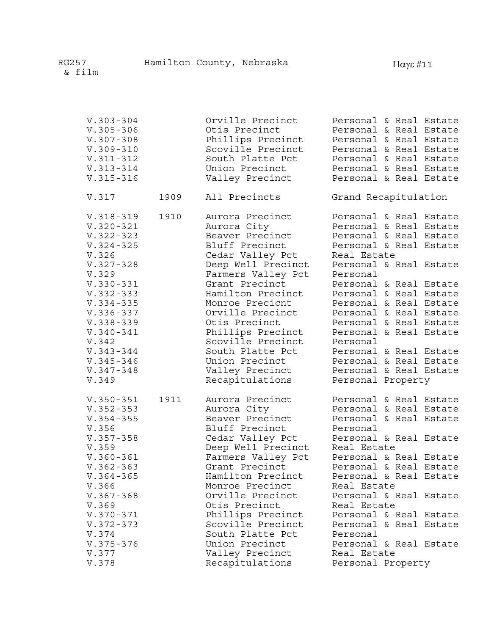| $V.303 - 304$ |      | Orville Precinct   | Personal & Real Estate |
|---------------|------|--------------------|------------------------|
| $V.305 - 306$ |      | Otis Precinct      | Personal & Real Estate |
| $V.307 - 308$ |      | Phillips Precinct  | Personal & Real Estate |
| $V.309 - 310$ |      | Scoville Precinct  | Personal & Real Estate |
| $V.311 - 312$ |      | South Platte Pct   | Personal & Real Estate |
| $V.313 - 314$ |      | Union Precinct     | Personal & Real Estate |
| $V.315 - 316$ |      | Valley Precinct    | Personal & Real Estate |
| V.317         | 1909 | All Precincts      | Grand Recapitulation   |
| $V.318 - 319$ | 1910 | Aurora Precinct    | Personal & Real Estate |
| $V.320 - 321$ |      | Aurora City        | Personal & Real Estate |
| $V.322 - 323$ |      | Beaver Precinct    | Personal & Real Estate |
| $V.324 - 325$ |      | Bluff Precinct     | Personal & Real Estate |
| V.326         |      | Cedar Valley Pct   | Real Estate            |
| $V.327 - 328$ |      | Deep Well Precinct | Personal & Real Estate |
| V.329         |      | Farmers Valley Pct | Personal               |
| $V.330 - 331$ |      | Grant Precinct     | Personal & Real Estate |
| $V.332 - 333$ |      | Hamilton Precinct  | Personal & Real Estate |
| $V.334 - 335$ |      | Monroe Precicnt    | Personal & Real Estate |
| $V.336 - 337$ |      | Orville Precinct   | Personal & Real Estate |
| $V.338 - 339$ |      | Otis Precinct      | Personal & Real Estate |
| $V.340 - 341$ |      | Phillips Precinct  | Personal & Real Estate |
| V.342         |      | Scoville Precinct  | Personal               |
| $V.343 - 344$ |      | South Platte Pct   | Personal & Real Estate |
| $V.345 - 346$ |      | Union Precinct     | Personal & Real Estate |
| $V.347 - 348$ |      | Valley Precinct    | Personal & Real Estate |
| V.349         |      | Recapitulations    | Personal Property      |
| $V.350 - 351$ | 1911 | Aurora Precinct    | Personal & Real Estate |
| $V.352 - 353$ |      | Aurora City        | Personal & Real Estate |
| $V.354 - 355$ |      | Beaver Precinct    | Personal & Real Estate |
| V.356         |      | Bluff Precinct     | Personal               |
| $V.357 - 358$ |      | Cedar Valley Pct   | Personal & Real Estate |
| V.359         |      | Deep Well Precinct | Real Estate            |
| $V.360 - 361$ |      | Farmers Valley Pct | Personal & Real Estate |
| $V.362 - 363$ |      | Grant Precinct     | Personal & Real Estate |
| $V.364 - 365$ |      | Hamilton Precinct  | Personal & Real Estate |
| V.366         |      | Monroe Precinct    | Real Estate            |
| $V.367 - 368$ |      | Orville Precinct   | Personal & Real Estate |
| V.369         |      | Otis Precinct      | Real Estate            |
| $V.370 - 371$ |      | Phillips Precinct  | Personal & Real Estate |
| $V.372 - 373$ |      | Scoville Precinct  | Personal & Real Estate |
| V.374         |      | South Platte Pct   | Personal               |
| $V.375 - 376$ |      | Union Precinct     | Personal & Real Estate |
| V.377         |      | Valley Precinct    | Real Estate            |
| V.378         |      | Recapitulations    | Personal Property      |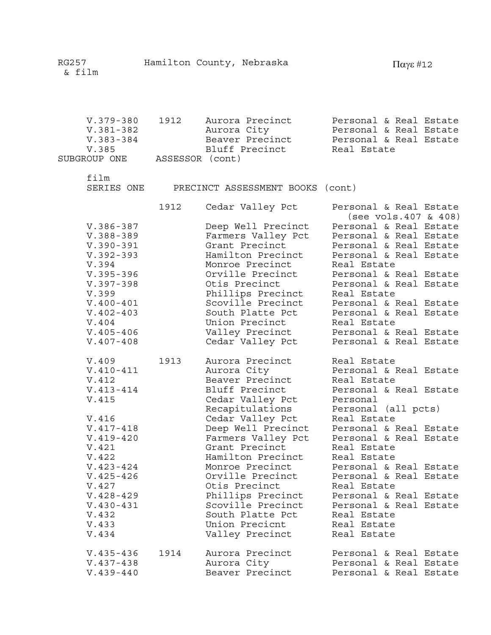| V.379-380    | 1912            |             | Aurora Precinct | Personal & Real Estate |  |  |
|--------------|-----------------|-------------|-----------------|------------------------|--|--|
| V.381-382    |                 | Aurora City |                 | Personal & Real Estate |  |  |
| V.383-384    |                 |             | Beaver Precinct | Personal & Real Estate |  |  |
| V.385        |                 |             | Bluff Precinct  | Real Estate            |  |  |
| SUBGROUP ONE | ASSESSOR (cont) |             |                 |                        |  |  |

film

SERIES ONE PRECINCT ASSESSMENT BOOKS (cont)

1912 Cedar Valley Pct Personal & Real Estate

|                                                                                                                                                                                                                                |      |                                                                                                                                                                                                                                                                                                                                                                              | (see vols.407 & 408)                                                                                                                                                                                                                                                                                                                                                                   |
|--------------------------------------------------------------------------------------------------------------------------------------------------------------------------------------------------------------------------------|------|------------------------------------------------------------------------------------------------------------------------------------------------------------------------------------------------------------------------------------------------------------------------------------------------------------------------------------------------------------------------------|----------------------------------------------------------------------------------------------------------------------------------------------------------------------------------------------------------------------------------------------------------------------------------------------------------------------------------------------------------------------------------------|
| $V.386 - 387$                                                                                                                                                                                                                  |      | Deep Well Precinct                                                                                                                                                                                                                                                                                                                                                           | Personal & Real Estate                                                                                                                                                                                                                                                                                                                                                                 |
| $V.388 - 389$                                                                                                                                                                                                                  |      | Farmers Valley Pct                                                                                                                                                                                                                                                                                                                                                           | Personal & Real Estate                                                                                                                                                                                                                                                                                                                                                                 |
| $V.390 - 391$                                                                                                                                                                                                                  |      | Grant Precinct                                                                                                                                                                                                                                                                                                                                                               | Personal & Real Estate                                                                                                                                                                                                                                                                                                                                                                 |
| $V.392 - 393$                                                                                                                                                                                                                  |      | Hamilton Precinct                                                                                                                                                                                                                                                                                                                                                            | Personal & Real Estate                                                                                                                                                                                                                                                                                                                                                                 |
| V.394                                                                                                                                                                                                                          |      | Monroe Precinct                                                                                                                                                                                                                                                                                                                                                              | Real Estate                                                                                                                                                                                                                                                                                                                                                                            |
| $V.395 - 396$                                                                                                                                                                                                                  |      | Orville Precinct                                                                                                                                                                                                                                                                                                                                                             | Personal & Real Estate                                                                                                                                                                                                                                                                                                                                                                 |
| $V.397 - 398$                                                                                                                                                                                                                  |      | Otis Precinct                                                                                                                                                                                                                                                                                                                                                                | Personal & Real Estate                                                                                                                                                                                                                                                                                                                                                                 |
| V.399                                                                                                                                                                                                                          |      | Phillips Precinct                                                                                                                                                                                                                                                                                                                                                            | Real Estate                                                                                                                                                                                                                                                                                                                                                                            |
| $V.400 - 401$                                                                                                                                                                                                                  |      | Scoville Precinct                                                                                                                                                                                                                                                                                                                                                            | Personal & Real Estate                                                                                                                                                                                                                                                                                                                                                                 |
| $V.402 - 403$                                                                                                                                                                                                                  |      | South Platte Pct                                                                                                                                                                                                                                                                                                                                                             | Personal & Real Estate                                                                                                                                                                                                                                                                                                                                                                 |
| V.404                                                                                                                                                                                                                          |      | Union Precinct                                                                                                                                                                                                                                                                                                                                                               | Real Estate                                                                                                                                                                                                                                                                                                                                                                            |
| $V.405 - 406$                                                                                                                                                                                                                  |      | Valley Precinct                                                                                                                                                                                                                                                                                                                                                              | Personal & Real Estate                                                                                                                                                                                                                                                                                                                                                                 |
| $V.407 - 408$                                                                                                                                                                                                                  |      | Cedar Valley Pct                                                                                                                                                                                                                                                                                                                                                             | Personal & Real Estate                                                                                                                                                                                                                                                                                                                                                                 |
| V.409<br>$V.410 - 411$<br>V.412<br>$V.413 - 414$<br>V.415<br>V.416<br>$V.417 - 418$<br>$V.419 - 420$<br>V.421<br>V.422<br>$V.423 - 424$<br>$V.425 - 426$<br>V.427<br>$V.428 - 429$<br>$V.430 - 431$<br>V.432<br>V.433<br>V.434 | 1913 | Aurora Precinct<br>Aurora City<br>Beaver Precinct<br>Bluff Precinct<br>Cedar Valley Pct<br>Recapitulations<br>Cedar Valley Pct<br>Deep Well Precinct<br>Farmers Valley Pct<br>Grant Precinct<br>Hamilton Precinct<br>Monroe Precinct<br>Orville Precinct<br>Otis Precinct<br>Phillips Precinct<br>Scoville Precinct<br>South Platte Pct<br>Union Precicnt<br>Valley Precinct | Real Estate<br>Personal & Real Estate<br>Real Estate<br>Personal & Real Estate<br>Personal<br>Personal (all pcts)<br>Real Estate<br>Personal & Real Estate<br>Personal & Real Estate<br>Real Estate<br>Real Estate<br>Personal & Real Estate<br>Personal & Real Estate<br>Real Estate<br>Personal & Real Estate<br>Personal & Real Estate<br>Real Estate<br>Real Estate<br>Real Estate |
| $V.435 - 436$                                                                                                                                                                                                                  | 1914 | Aurora Precinct                                                                                                                                                                                                                                                                                                                                                              | Personal & Real Estate                                                                                                                                                                                                                                                                                                                                                                 |
| $V.437 - 438$                                                                                                                                                                                                                  |      | Aurora City                                                                                                                                                                                                                                                                                                                                                                  | Personal & Real Estate                                                                                                                                                                                                                                                                                                                                                                 |
| $V.439 - 440$                                                                                                                                                                                                                  |      | Beaver Precinct                                                                                                                                                                                                                                                                                                                                                              | Personal & Real Estate                                                                                                                                                                                                                                                                                                                                                                 |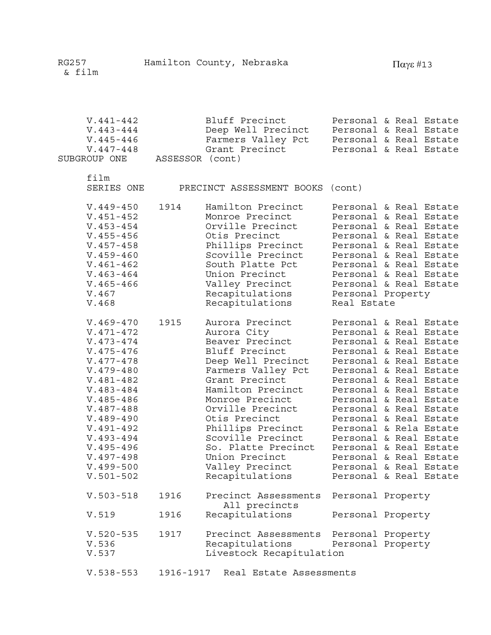| $V.441 - 442$ | Bluff Precinct     | Personal & Real Estate |
|---------------|--------------------|------------------------|
| V.443-444     | Deep Well Precinct | Personal & Real Estate |
| $V.445 - 446$ | Farmers Valley Pct | Personal & Real Estate |
| V.447-448     | Grant Precinct     | Personal & Real Estate |
| SUBGROUP ONE  | ASSESSOR (cont)    |                        |

film

SERIES ONE PRECINCT ASSESSMENT BOOKS (cont)

| $V.449 - 450$<br>$V.451 - 452$<br>$V.453 - 454$<br>$V.455 - 456$<br>$V.457 - 458$<br>$V.459 - 460$<br>$V.461 - 462$<br>$V.463 - 464$<br>$V.465 - 466$<br>V.467<br>V.468                                                                                                                       | 1914      | Hamilton Precinct<br>Monroe Precinct<br>Orville Precinct<br>Otis Precinct<br>Phillips Precinct<br>Scoville Precinct<br>South Platte Pct<br>Union Precinct<br>Valley Precinct<br>Recapitulations<br>Recapitulations                                                                                                                      | Personal Property<br>Real Estate       | Personal & Real Estate<br>Personal & Real Estate<br>Personal & Real Estate<br>Personal & Real Estate<br>Personal & Real Estate<br>Personal & Real Estate<br>Personal & Real Estate<br>Personal & Real Estate<br>Personal & Real Estate                                                                                                                                                                                                                 |
|-----------------------------------------------------------------------------------------------------------------------------------------------------------------------------------------------------------------------------------------------------------------------------------------------|-----------|-----------------------------------------------------------------------------------------------------------------------------------------------------------------------------------------------------------------------------------------------------------------------------------------------------------------------------------------|----------------------------------------|--------------------------------------------------------------------------------------------------------------------------------------------------------------------------------------------------------------------------------------------------------------------------------------------------------------------------------------------------------------------------------------------------------------------------------------------------------|
| $V.469 - 470$<br>$V.471 - 472$<br>$V.473 - 474$<br>$V.475 - 476$<br>$V.477 - 478$<br>$V.479 - 480$<br>$V.481 - 482$<br>$V.483 - 484$<br>$V.485 - 486$<br>$V.487 - 488$<br>$V.489 - 490$<br>$V.491 - 492$<br>$V.493 - 494$<br>$V.495 - 496$<br>$V.497 - 498$<br>$V.499 - 500$<br>$V.501 - 502$ | 1915      | Aurora Precinct<br>Aurora City<br>Beaver Precinct<br>Bluff Precinct<br>Deep Well Precinct<br>Farmers Valley Pct<br>Grant Precinct<br>Hamilton Precinct<br>Monroe Precinct<br>Orville Precinct<br>Otis Precinct<br>Phillips Precinct<br>Scoville Precinct<br>So. Platte Precinct<br>Union Precinct<br>Valley Precinct<br>Recapitulations |                                        | Personal & Real Estate<br>Personal & Real Estate<br>Personal & Real Estate<br>Personal & Real Estate<br>Personal & Real Estate<br>Personal & Real Estate<br>Personal & Real Estate<br>Personal & Real Estate<br>Personal & Real Estate<br>Personal & Real Estate<br>Personal & Real Estate<br>Personal & Rela Estate<br>Personal & Real Estate<br>Personal & Real Estate<br>Personal & Real Estate<br>Personal & Real Estate<br>Personal & Real Estate |
| $V.503 - 518$                                                                                                                                                                                                                                                                                 | 1916      | Precinct Assessments<br>All precincts                                                                                                                                                                                                                                                                                                   | Personal Property                      |                                                                                                                                                                                                                                                                                                                                                                                                                                                        |
| V.519                                                                                                                                                                                                                                                                                         | 1916      | Recapitulations                                                                                                                                                                                                                                                                                                                         | Personal Property                      |                                                                                                                                                                                                                                                                                                                                                                                                                                                        |
| $V.520 - 535$<br>V.536<br>V.537                                                                                                                                                                                                                                                               | 1917      | Precinct Assessments<br>Recapitulations<br>Livestock Recapitulation                                                                                                                                                                                                                                                                     | Personal Property<br>Personal Property |                                                                                                                                                                                                                                                                                                                                                                                                                                                        |
| $V.538 - 553$                                                                                                                                                                                                                                                                                 | 1916-1917 | Real Estate Assessments                                                                                                                                                                                                                                                                                                                 |                                        |                                                                                                                                                                                                                                                                                                                                                                                                                                                        |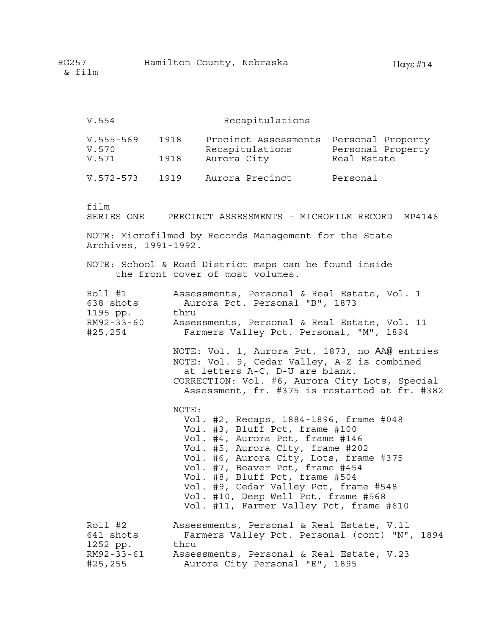| V.554                                                     |              | Recapitulations                                                                                                                                                                                                                                                                                                                                                                           |                                  |
|-----------------------------------------------------------|--------------|-------------------------------------------------------------------------------------------------------------------------------------------------------------------------------------------------------------------------------------------------------------------------------------------------------------------------------------------------------------------------------------------|----------------------------------|
| $V.555 - 569$<br>V.570<br>V.571                           | 1918<br>1918 | Precinct Assessments Personal Property<br>Recapitulations<br>Aurora City                                                                                                                                                                                                                                                                                                                  | Personal Property<br>Real Estate |
| $V.572 - 573$                                             | 1919         | Aurora Precinct                                                                                                                                                                                                                                                                                                                                                                           | Personal                         |
| film                                                      |              | SERIES ONE PRECINCT ASSESSMENTS - MICROFILM RECORD MP4146                                                                                                                                                                                                                                                                                                                                 |                                  |
| Archives, 1991-1992.                                      |              | NOTE: Microfilmed by Records Management for the State                                                                                                                                                                                                                                                                                                                                     |                                  |
|                                                           |              | NOTE: School & Road District maps can be found inside<br>the front cover of most volumes.                                                                                                                                                                                                                                                                                                 |                                  |
| Roll #1<br>638 shots<br>1195 pp.<br>RM92-33-60<br>#25,254 | thru         | Assessments, Personal & Real Estate, Vol. 1<br>Aurora Pct. Personal "B", 1873<br>Assessments, Personal & Real Estate, Vol. 11<br>Farmers Valley Pct. Personal, "M", 1894                                                                                                                                                                                                                  |                                  |
|                                                           |              | NOTE: Vol. 1, Aurora Pct, 1873, no AA@ entries<br>NOTE: Vol. 9, Cedar Valley, A-Z is combined<br>at letters A-C, D-U are blank.<br>CORRECTION: Vol. #6, Aurora City Lots, Special<br>Assessment, fr. #375 is restarted at fr. #382                                                                                                                                                        |                                  |
|                                                           | NOTE:        | Vol. #2, Recaps, 1884-1896, frame #048<br>Vol. #3, Bluff Pct, frame #100<br>Vol. #4, Aurora Pct, frame #146<br>Vol. #5, Aurora City, frame #202<br>Vol. #6, Aurora City, Lots, frame #375<br>Vol. #7, Beaver Pct, frame #454<br>Vol. #8, Bluff Pct, frame #504<br>Vol. #9, Cedar Valley Pct, frame #548<br>Vol. #10, Deep Well Pct, frame #568<br>Vol. #11, Farmer Valley Pct, frame #610 |                                  |
| Roll #2<br>641 shots<br>1252 pp.<br>RM92-33-61<br>#25,255 | thru         | Assessments, Personal & Real Estate, V.11<br>Farmers Valley Pct. Personal (cont) "N", 1894<br>Assessments, Personal & Real Estate, V.23<br>Aurora City Personal "E", 1895                                                                                                                                                                                                                 |                                  |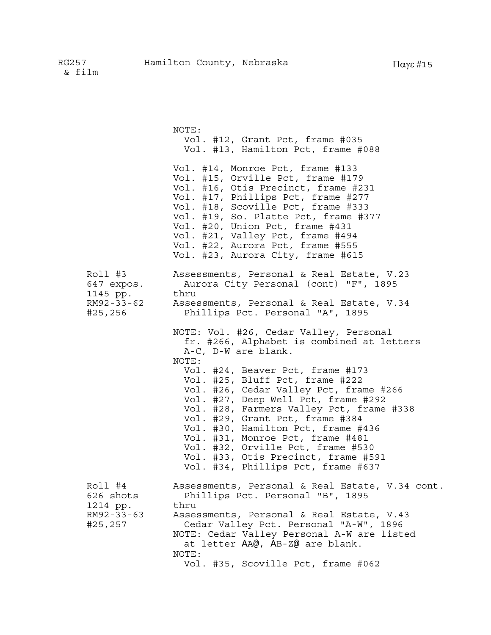NOTE: Vol. #12, Grant Pct, frame #035 Vol. #13, Hamilton Pct, frame #088 Vol. #14, Monroe Pct, frame #133 Vol. #15, Orville Pct, frame #179 Vol. #16, Otis Precinct, frame #231 Vol. #17, Phillips Pct, frame #277 Vol. #18, Scoville Pct, frame #333 Vol. #19, So. Platte Pct, frame #377 Vol. #20, Union Pct, frame #431 Vol. #21, Valley Pct, frame #494 Vol. #22, Aurora Pct, frame #555 Vol. #23, Aurora City, frame #615 Roll #3 Assessments, Personal & Real Estate, V.23 647 expos. Aurora City Personal (cont) "F", 1895 1145 pp. thru RM92-33-62 Assessments, Personal & Real Estate, V.34 #25,256 Phillips Pct. Personal "A", 1895 NOTE: Vol. #26, Cedar Valley, Personal fr. #266, Alphabet is combined at letters A-C, D-W are blank. NOTE: Vol. #24, Beaver Pct, frame #173 Vol. #25, Bluff Pct, frame #222 Vol. #26, Cedar Valley Pct, frame #266 Vol. #27, Deep Well Pct, frame #292 Vol. #28, Farmers Valley Pct, frame #338 Vol. #29, Grant Pct, frame #384 Vol. #30, Hamilton Pct, frame #436 Vol. #31, Monroe Pct, frame #481 Vol. #32, Orville Pct, frame #530 Vol. #33, Otis Precinct, frame #591 Vol. #34, Phillips Pct, frame #637 Roll #4 Assessments, Personal & Real Estate, V.34 cont. 626 shots Phillips Pct. Personal "B", 1895 1214 pp. thru RM92-33-63 Assessments, Personal & Real Estate, V.43 #25,257 Cedar Valley Pct. Personal "A-W", 1896 NOTE: Cedar Valley Personal A-W are listed at letter AA@, AB-Z@ are blank. NOTE: Vol. #35, Scoville Pct, frame #062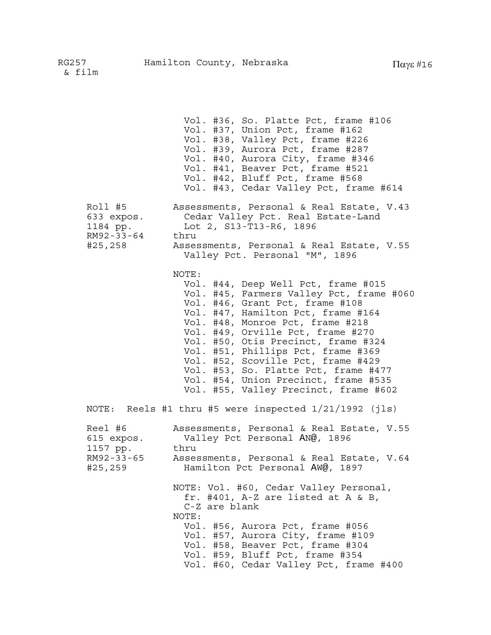Vol. #36, So. Platte Pct, frame #106 Vol. #37, Union Pct, frame #162 Vol. #38, Valley Pct, frame #226 Vol. #39, Aurora Pct, frame #287 Vol. #40, Aurora City, frame #346 Vol. #41, Beaver Pct, frame #521 Vol. #42, Bluff Pct, frame #568 Vol. #43, Cedar Valley Pct, frame #614 Roll #5 Assessments, Personal & Real Estate, V.43 633 expos. Cedar Valley Pct. Real Estate-Land 1184 pp. Lot 2, S13-T13-R6, 1896 RM92-33-64 thru #25,258 Assessments, Personal & Real Estate, V.55 Valley Pct. Personal "M", 1896 NOTE: Vol. #44, Deep Well Pct, frame #015 Vol. #45, Farmers Valley Pct, frame #060 Vol. #46, Grant Pct, frame #108 Vol. #47, Hamilton Pct, frame #164 Vol. #48, Monroe Pct, frame #218 Vol. #49, Orville Pct, frame #270 Vol. #50, Otis Precinct, frame #324 Vol. #51, Phillips Pct, frame #369 Vol. #52, Scoville Pct, frame #429 Vol. #53, So. Platte Pct, frame #477 Vol. #54, Union Precinct, frame #535 Vol. #55, Valley Precinct, frame #602 NOTE: Reels #1 thru #5 were inspected 1/21/1992 (jls) Reel #6 Assessments, Personal & Real Estate, V.55 615 expos. Valley Pct Personal AN@, 1896 1157 pp. thru<br>RM92-33-65 Asse Assessments, Personal & Real Estate, V.64 #25,259 Hamilton Pct Personal AW@, 1897 NOTE: Vol. #60, Cedar Valley Personal, fr. #401, A-Z are listed at A & B, C-Z are blank NOTE: Vol. #56, Aurora Pct, frame #056 Vol. #57, Aurora City, frame #109 Vol. #58, Beaver Pct, frame #304 Vol. #59, Bluff Pct, frame #354 Vol. #60, Cedar Valley Pct, frame #400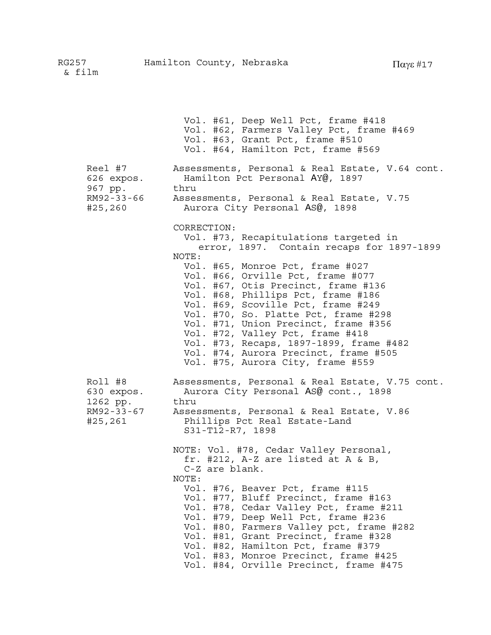Vol. #61, Deep Well Pct, frame #418 Vol. #62, Farmers Valley Pct, frame #469 Vol. #63, Grant Pct, frame #510 Vol. #64, Hamilton Pct, frame #569 Reel #7 Assessments, Personal & Real Estate, V.64 cont. 626 expos. Hamilton Pct Personal AY@, 1897

967 pp. thru RM92-33-66 Assessments, Personal & Real Estate, V.75 #25,260 Aurora City Personal AS@, 1898

CORRECTION:

Vol. #73, Recapitulations targeted in error, 1897. Contain recaps for 1897-1899 NOTE: Vol. #65, Monroe Pct, frame #027 Vol. #66, Orville Pct, frame #077 Vol. #67, Otis Precinct, frame #136 Vol. #68, Phillips Pct, frame #186 Vol. #69, Scoville Pct, frame #249 Vol. #70, So. Platte Pct, frame #298 Vol. #71, Union Precinct, frame #356 Vol. #72, Valley Pct, frame #418 Vol. #73, Recaps, 1897-1899, frame #482 Vol. #74, Aurora Precinct, frame #505 Vol. #75, Aurora City, frame #559

Roll #8 Assessments, Personal & Real Estate, V.75 cont. 630 expos. Aurora City Personal AS@ cont., 1898 1262 pp. thru RM92-33-67 Assessments, Personal & Real Estate, V.86 #25,261 Phillips Pct Real Estate-Land S31-T12-R7, 1898

> NOTE: Vol. #78, Cedar Valley Personal, fr. #212, A-Z are listed at A & B, C-Z are blank. NOTE: Vol. #76, Beaver Pct, frame #115 Vol. #77, Bluff Precinct, frame #163 Vol. #78, Cedar Valley Pct, frame #211 Vol. #79, Deep Well Pct, frame #236 Vol. #80, Farmers Valley pct, frame #282 Vol. #81, Grant Precinct, frame #328 Vol. #82, Hamilton Pct, frame #379 Vol. #83, Monroe Precinct, frame #425

Vol. #84, Orville Precinct, frame #475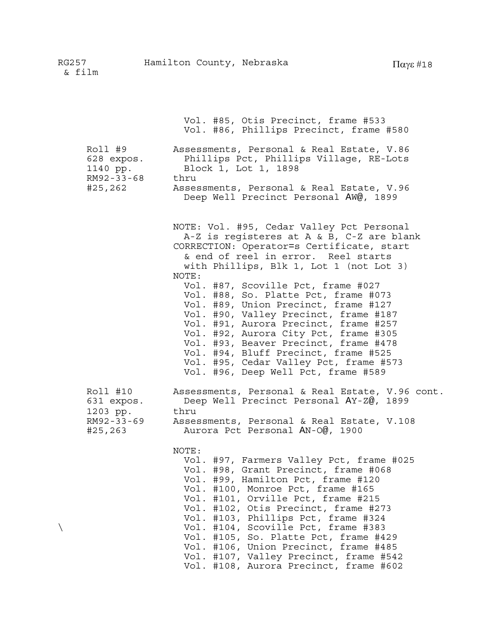|                                                 | Vol. #85, Otis Precinct, frame #533<br>Vol. #86, Phillips Precinct, frame #580                                                                                                                                                                                                                                                                                           |
|-------------------------------------------------|--------------------------------------------------------------------------------------------------------------------------------------------------------------------------------------------------------------------------------------------------------------------------------------------------------------------------------------------------------------------------|
| Roll #9<br>628 expos.<br>1140 pp.<br>RM92-33-68 | Assessments, Personal & Real Estate, V.86<br>Phillips Pct, Phillips Village, RE-Lots<br>Block 1, Lot 1, 1898<br>thru                                                                                                                                                                                                                                                     |
| #25,262                                         | Assessments, Personal & Real Estate, V.96<br>Deep Well Precinct Personal AW@, 1899                                                                                                                                                                                                                                                                                       |
|                                                 | NOTE: Vol. #95, Cedar Valley Pct Personal<br>A-Z is registeres at A & B, C-Z are blank<br>CORRECTION: Operator=s Certificate, start<br>& end of reel in error. Reel starts<br>with Phillips, Blk 1, Lot 1 (not Lot 3)<br>NOTE:                                                                                                                                           |
|                                                 | Vol. #87, Scoville Pct, frame #027<br>Vol. #88, So. Platte Pct, frame #073<br>Vol. #89, Union Precinct, frame #127<br>Vol. #90, Valley Precinct, frame #187<br>Vol. #91, Aurora Precinct, frame #257<br>Vol. #92, Aurora City Pct, frame #305<br>Vol. #93, Beaver Precinct, frame #478<br>Vol. #94, Bluff Precinct, frame #525<br>Vol. #95, Cedar Valley Pct, frame #573 |
| Roll #10<br>631 expos.                          | Vol. #96, Deep Well Pct, frame #589<br>Assessments, Personal & Real Estate, V.96 cont.<br>Deep Well Precinct Personal AY-Z@, 1899<br>thru                                                                                                                                                                                                                                |
| 1203 pp.<br>RM92-33-69<br>#25,263               | Assessments, Personal & Real Estate, V.108<br>Aurora Pct Personal AN-0@, 1900                                                                                                                                                                                                                                                                                            |
|                                                 | NOTE:<br>Vol. #97, Farmers Valley Pct, frame #025<br>Vol. #98, Grant Precinct, frame #068<br>Vol. #99, Hamilton Pct, frame #120                                                                                                                                                                                                                                          |
|                                                 | Vol. #100, Monroe Pct, frame #165<br>Vol. #101, Orville Pct, frame #215<br>Vol. #102, Otis Precinct, frame #273                                                                                                                                                                                                                                                          |
|                                                 | Vol. #103, Phillips Pct, frame #324<br>Vol. #104, Scoville Pct, frame #383<br>Vol. #105, So. Platte Pct, frame #429<br>Vol. #106, Union Precinct, frame #485                                                                                                                                                                                                             |
|                                                 | Vol. #107, Valley Precinct, frame #542<br>Vol. #108, Aurora Precinct, frame #602                                                                                                                                                                                                                                                                                         |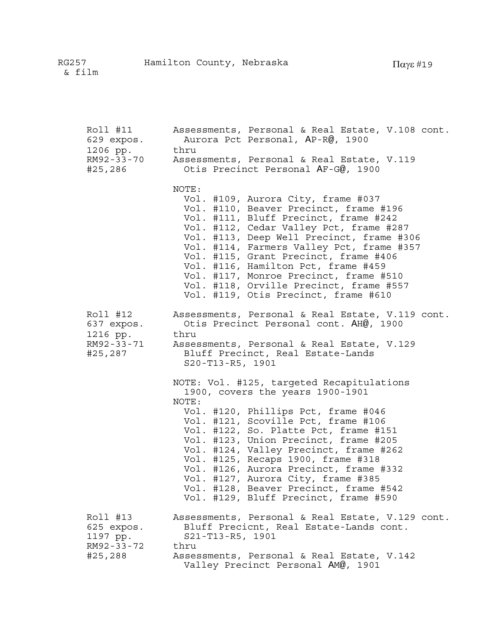| Roll #11<br>629 expos.<br>1206 pp.                          | Assessments, Personal & Real Estate, V.108 cont.<br>Aurora Pct Personal, AP-R@, 1900<br>thru                                                                                                                                                                                                                                                                                                                                                                                                              |
|-------------------------------------------------------------|-----------------------------------------------------------------------------------------------------------------------------------------------------------------------------------------------------------------------------------------------------------------------------------------------------------------------------------------------------------------------------------------------------------------------------------------------------------------------------------------------------------|
| RM92-33-70<br>#25,286                                       | Assessments, Personal & Real Estate, V.119<br>Otis Precinct Personal AF-G@, 1900                                                                                                                                                                                                                                                                                                                                                                                                                          |
|                                                             | NOTE:<br>Vol. #109, Aurora City, frame #037<br>Vol. #110, Beaver Precinct, frame #196<br>Vol. #111, Bluff Precinct, frame #242<br>Vol. #112, Cedar Valley Pct, frame #287<br>Vol. #113, Deep Well Precinct, frame #306<br>Vol. #114, Farmers Valley Pct, frame #357<br>Vol. #115, Grant Precinct, frame #406<br>Vol. #116, Hamilton Pct, frame #459<br>Vol. #117, Monroe Precinct, frame #510<br>Vol. #118, Orville Precinct, frame #557<br>Vol. #119, Otis Precinct, frame #610                          |
| Roll #12<br>637 expos.<br>1216 pp.<br>RM92-33-71<br>#25,287 | Assessments, Personal & Real Estate, V.119 cont.<br>Otis Precinct Personal cont. AH@, 1900<br>thru<br>Assessments, Personal & Real Estate, V.129<br>Bluff Precinct, Real Estate-Lands<br>S20-T13-R5, 1901                                                                                                                                                                                                                                                                                                 |
|                                                             | NOTE: Vol. #125, targeted Recapitulations<br>1900, covers the years 1900-1901<br>NOTE:<br>Vol. #120, Phillips Pct, frame #046<br>Vol. #121, Scoville Pct, frame #106<br>Vol. #122, So. Platte Pct, frame #151<br>Vol. #123, Union Precinct, frame #205<br>Vol. #124, Valley Precinct, frame #262<br>Vol. #125, Recaps 1900, frame #318<br>Vol. #126, Aurora Precinct, frame #332<br>Vol. #127, Aurora City, frame #385<br>Vol. #128, Beaver Precinct, frame #542<br>Vol. #129, Bluff Precinct, frame #590 |
| Roll #13<br>625 expos.<br>1197 pp.<br>RM92-33-72<br>#25,288 | Assessments, Personal & Real Estate, V.129 cont.<br>Bluff Precicnt, Real Estate-Lands cont.<br>S21-T13-R5, 1901<br>thru<br>Assessments, Personal & Real Estate, V.142<br>Valley Precinct Personal AM@, 1901                                                                                                                                                                                                                                                                                               |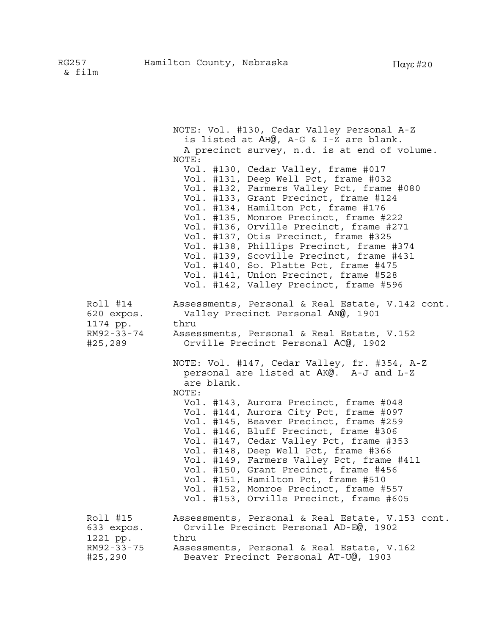NOTE: Vol. #130, Cedar Valley Personal A-Z is listed at AH@, A-G & I-Z are blank. A precinct survey, n.d. is at end of volume. NOTE: Vol. #130, Cedar Valley, frame #017 Vol. #131, Deep Well Pct, frame #032 Vol. #132, Farmers Valley Pct, frame #080 Vol. #133, Grant Precinct, frame #124 Vol. #134, Hamilton Pct, frame #176 Vol. #135, Monroe Precinct, frame #222 Vol. #136, Orville Precinct, frame #271 Vol. #137, Otis Precinct, frame #325 Vol. #138, Phillips Precinct, frame #374 Vol. #139, Scoville Precinct, frame #431 Vol. #140, So. Platte Pct, frame #475 Vol. #141, Union Precinct, frame #528 Vol. #142, Valley Precinct, frame #596 Roll #14 Assessments, Personal & Real Estate, V.142 cont. 620 expos. Valley Precinct Personal AN@, 1901 1174 pp. thru RM92-33-74 Assessments, Personal & Real Estate, V.152 #25,289 Orville Precinct Personal AC@, 1902 NOTE: Vol. #147, Cedar Valley, fr. #354, A-Z personal are listed at AK@. A-J and L-Z are blank. NOTE: Vol. #143, Aurora Precinct, frame #048 Vol. #144, Aurora City Pct, frame #097 Vol. #145, Beaver Precinct, frame #259 Vol. #146, Bluff Precinct, frame #306 Vol. #147, Cedar Valley Pct, frame #353 Vol. #148, Deep Well Pct, frame #366 Vol. #149, Farmers Valley Pct, frame #411 Vol. #150, Grant Precinct, frame #456 Vol. #151, Hamilton Pct, frame #510 Vol. #152, Monroe Precinct, frame #557 Vol. #153, Orville Precinct, frame #605 Roll #15 Assessments, Personal & Real Estate, V.153 cont. 633 expos. Orville Precinct Personal AD-E@, 1902 1221 pp. thru RM92-33-75 Assessments, Personal & Real Estate, V.162 #25,290 Beaver Precinct Personal AT-U@, 1903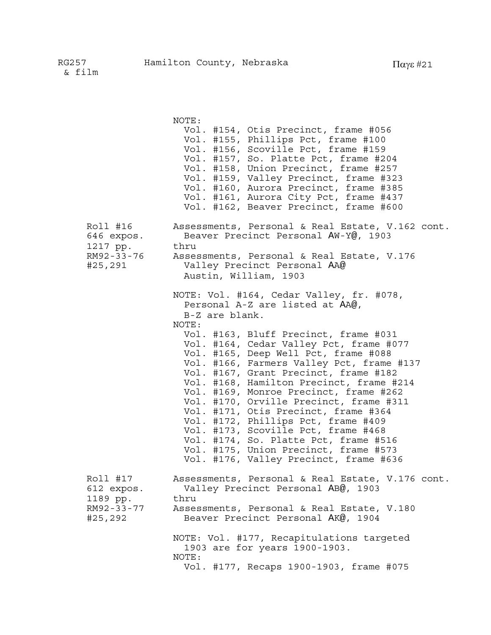|                                                             | NOTE:<br>Vol. #154, Otis Precinct, frame #056<br>Vol. #155, Phillips Pct, frame #100<br>Vol. #156, Scoville Pct, frame #159<br>Vol. #157, So. Platte Pct, frame #204<br>Vol. #158, Union Precinct, frame #257<br>Vol. #159, Valley Precinct, frame #323<br>Vol. #160, Aurora Precinct, frame #385<br>Vol. #161, Aurora City Pct, frame #437<br>Vol. #162, Beaver Precinct, frame #600                                                                                                                                                                                                                                                                                                                       |
|-------------------------------------------------------------|-------------------------------------------------------------------------------------------------------------------------------------------------------------------------------------------------------------------------------------------------------------------------------------------------------------------------------------------------------------------------------------------------------------------------------------------------------------------------------------------------------------------------------------------------------------------------------------------------------------------------------------------------------------------------------------------------------------|
| Roll #16<br>646 expos.<br>1217 pp.<br>RM92-33-76<br>#25,291 | Assessments, Personal & Real Estate, V.162 cont.<br>Beaver Precinct Personal AW-Y@, 1903<br>thru<br>Assessments, Personal & Real Estate, V.176<br>Valley Precinct Personal AA@<br>Austin, William, 1903                                                                                                                                                                                                                                                                                                                                                                                                                                                                                                     |
|                                                             | NOTE: Vol. #164, Cedar Valley, fr. #078,<br>Personal A-Z are listed at AA@,<br>B-Z are blank.<br>NOTE:<br>Vol. #163, Bluff Precinct, frame #031<br>Vol. #164, Cedar Valley Pct, frame #077<br>Vol. #165, Deep Well Pct, frame #088<br>Vol. #166, Farmers Valley Pct, frame #137<br>Vol. #167, Grant Precinct, frame #182<br>Vol. #168, Hamilton Precinct, frame #214<br>Vol. #169, Monroe Precinct, frame #262<br>Vol. #170, Orville Precinct, frame #311<br>Vol. #171, Otis Precinct, frame #364<br>Vol. #172, Phillips Pct, frame #409<br>Vol. #173, Scoville Pct, frame #468<br>Vol. #174, So. Platte Pct, frame #516<br>Vol. #175, Union Precinct, frame #573<br>Vol. #176, Valley Precinct, frame #636 |
| Roll #17<br>612 expos.<br>1189 pp.<br>RM92-33-77<br>#25,292 | Assessments, Personal & Real Estate, V.176 cont.<br>Valley Precinct Personal AB@, 1903<br>thru<br>Assessments, Personal & Real Estate, V.180<br>Beaver Precinct Personal AK@, 1904<br>NOTE: Vol. #177, Recapitulations targeted                                                                                                                                                                                                                                                                                                                                                                                                                                                                             |
|                                                             | 1903 are for years 1900-1903.<br>NOTE:<br>Vol. #177, Recaps 1900-1903, frame #075                                                                                                                                                                                                                                                                                                                                                                                                                                                                                                                                                                                                                           |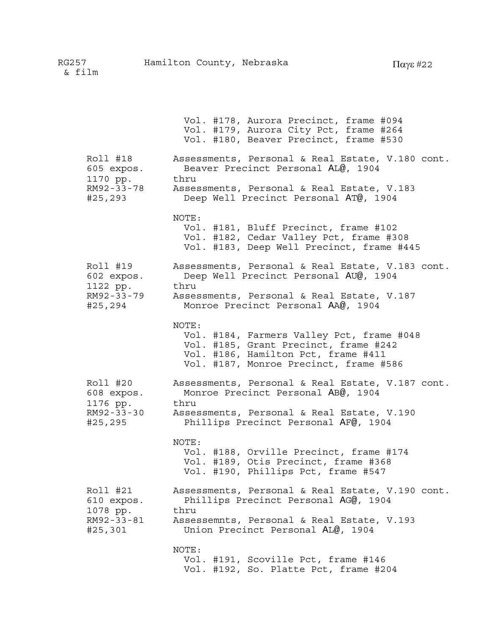Vol. #178, Aurora Precinct, frame #094 Vol. #179, Aurora City Pct, frame #264 Vol. #180, Beaver Precinct, frame #530 Roll #18 Assessments, Personal & Real Estate, V.180 cont. 605 expos. Beaver Precinct Personal AL@, 1904 1170 pp. thru RM92-33-78 Assessments, Personal & Real Estate, V.183 #25,293 Deep Well Precinct Personal AT@, 1904 NOTE: Vol. #181, Bluff Precinct, frame #102 Vol. #182, Cedar Valley Pct, frame #308 Vol. #183, Deep Well Precinct, frame #445 Roll #19 Assessments, Personal & Real Estate, V.183 cont. 602 expos. Deep Well Precinct Personal AU@, 1904 1122 pp. thru RM92-33-79 Assessments, Personal & Real Estate, V.187 #25,294 Monroe Precinct Personal AA@, 1904 NOTE: Vol. #184, Farmers Valley Pct, frame #048 Vol. #185, Grant Precinct, frame #242 Vol. #186, Hamilton Pct, frame #411 Vol. #187, Monroe Precinct, frame #586 Roll #20 Assessments, Personal & Real Estate, V.187 cont. 608 expos. Monroe Precinct Personal AB@, 1904 1176 pp. thru RM92-33-30 Assessments, Personal & Real Estate, V.190 #25,295 Phillips Precinct Personal AF@, 1904 NOTE: Vol. #188, Orville Precinct, frame #174 Vol. #189, Otis Precinct, frame #368 Vol. #190, Phillips Pct, frame #547 Roll #21 Assessments, Personal & Real Estate, V.190 cont. 610 expos. Phillips Precinct Personal AG@, 1904 1078 pp. thru RM92-33-81 Assessemnts, Personal & Real Estate, V.193 #25,301 Union Precinct Personal AL@, 1904 NOTE: Vol. #191, Scoville Pct, frame #146 Vol. #192, So. Platte Pct, frame #204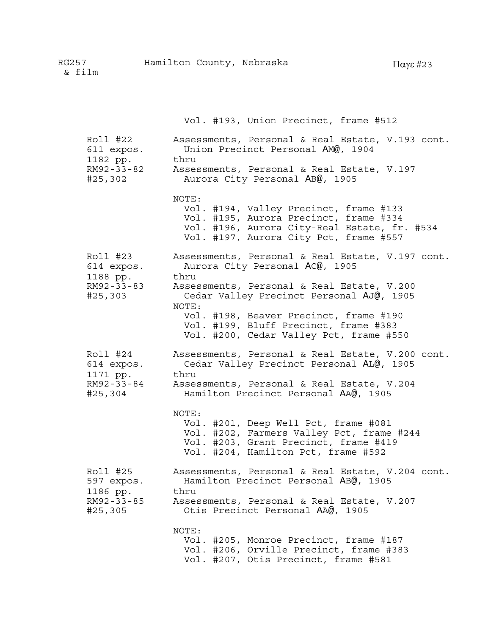|                                   | Vol. #193, Union Precinct, frame #512                                                                                                                                               |
|-----------------------------------|-------------------------------------------------------------------------------------------------------------------------------------------------------------------------------------|
| Roll #22                          | Assessments, Personal & Real Estate, V.193 cont.                                                                                                                                    |
| 611 expos.                        | Union Precinct Personal AM@, 1904                                                                                                                                                   |
| 1182 pp.                          | thru                                                                                                                                                                                |
| RM92-33-82                        | Assessments, Personal & Real Estate, V.197                                                                                                                                          |
| #25,302                           | Aurora City Personal AB@, 1905                                                                                                                                                      |
|                                   | NOTE:<br>Vol. #194, Valley Precinct, frame #133<br>Vol. #195, Aurora Precinct, frame #334<br>Vol. #196, Aurora City-Real Estate, fr. #534<br>Vol. #197, Aurora City Pct, frame #557 |
| Roll #23                          | Assessments, Personal & Real Estate, V.197 cont.                                                                                                                                    |
| 614 expos.                        | Aurora City Personal AC@, 1905                                                                                                                                                      |
| 1188 pp.<br>RM92-33-83<br>#25,303 | thru<br>Assessments, Personal & Real Estate, V.200<br>Cedar Valley Precinct Personal AJ@, 1905<br>NOTE:                                                                             |
|                                   | Vol. #198, Beaver Precinct, frame #190<br>Vol. #199, Bluff Precinct, frame #383<br>Vol. #200, Cedar Valley Pct, frame #550                                                          |
| Roll #24                          | Assessments, Personal & Real Estate, V.200 cont.                                                                                                                                    |
| 614 expos.                        | Cedar Valley Precinct Personal AL@, 1905                                                                                                                                            |
| 1171 pp.                          | thru                                                                                                                                                                                |
| RM92-33-84                        | Assessments, Personal & Real Estate, V.204                                                                                                                                          |
| #25,304                           | Hamilton Precinct Personal AA@, 1905                                                                                                                                                |
|                                   | NOTE:<br>Vol. #201, Deep Well Pct, frame #081<br>Vol. #202, Farmers Valley Pct, frame #244<br>Vol. #203, Grant Precinct, frame #419<br>Vol. #204, Hamilton Pct, frame #592          |
| Roll #25                          | Assessments, Personal & Real Estate, V.204 cont.                                                                                                                                    |
| 597 expos.                        | Hamilton Precinct Personal AB@, 1905                                                                                                                                                |
| 1186 pp.                          | thru                                                                                                                                                                                |
| RM92-33-85                        | Assessments, Personal & Real Estate, V.207                                                                                                                                          |
| #25,305                           | Otis Precinct Personal AA@, 1905                                                                                                                                                    |
|                                   | NOTE:<br>Vol. #205, Monroe Precinct, frame #187<br>Vol. #206, Orville Precinct, frame #383<br>Vol. #207, Otis Precinct, frame #581                                                  |

RG257 Hamilton County, Nebraska & film Παγε #<sup>23</sup>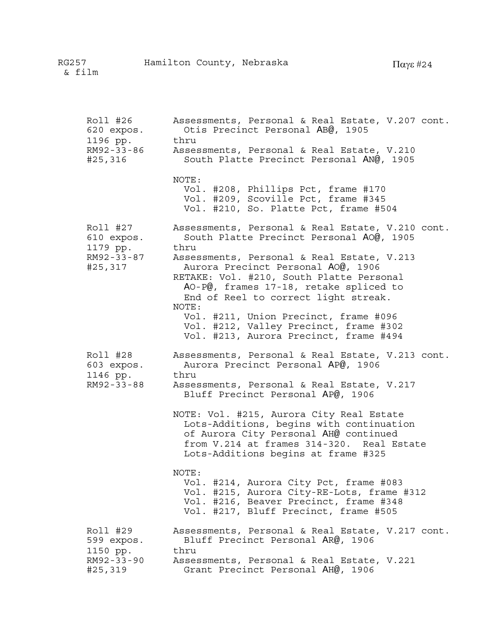| Roll #26<br>620 expos.<br>1196 pp.<br>RM92-33-86<br>#25,316 | Assessments, Personal & Real Estate, V.207 cont.<br>Otis Precinct Personal AB@, 1905<br>thru<br>Assessments, Personal & Real Estate, V.210<br>South Platte Precinct Personal AN@, 1905                                                                                                                                                                                                                                                                                                                                                                                                     |
|-------------------------------------------------------------|--------------------------------------------------------------------------------------------------------------------------------------------------------------------------------------------------------------------------------------------------------------------------------------------------------------------------------------------------------------------------------------------------------------------------------------------------------------------------------------------------------------------------------------------------------------------------------------------|
|                                                             | NOTE:<br>Vol. #208, Phillips Pct, frame #170<br>Vol. #209, Scoville Pct, frame #345<br>Vol. #210, So. Platte Pct, frame #504                                                                                                                                                                                                                                                                                                                                                                                                                                                               |
| Roll #27<br>610 expos.<br>1179 pp.<br>RM92-33-87<br>#25,317 | Assessments, Personal & Real Estate, V.210 cont.<br>South Platte Precinct Personal AO@, 1905<br>thru<br>Assessments, Personal & Real Estate, V.213<br>Aurora Precinct Personal AO@, 1906<br>RETAKE: Vol. #210, South Platte Personal<br>AO-P@, frames 17-18, retake spliced to<br>End of Reel to correct light streak.<br>NOTE:<br>Vol. #211, Union Precinct, frame #096<br>Vol. #212, Valley Precinct, frame #302<br>Vol. #213, Aurora Precinct, frame #494                                                                                                                               |
| Roll #28<br>603 expos.<br>1146 pp.<br>RM92-33-88            | Assessments, Personal & Real Estate, V.213 cont.<br>Aurora Precinct Personal AP@, 1906<br>thru<br>Assessments, Personal & Real Estate, V.217<br>Bluff Precinct Personal AP@, 1906<br>NOTE: Vol. #215, Aurora City Real Estate<br>Lots-Additions, begins with continuation<br>of Aurora City Personal AH@ continued<br>from V.214 at frames 314-320. Real Estate<br>Lots-Additions begins at frame #325<br>NOTE:<br>Vol. #214, Aurora City Pct, frame #083<br>Vol. #215, Aurora City-RE-Lots, frame #312<br>Vol. #216, Beaver Precinct, frame #348<br>Vol. #217, Bluff Precinct, frame #505 |
| Roll #29<br>599 expos.<br>1150 pp.<br>RM92-33-90<br>#25,319 | Assessments, Personal & Real Estate, V.217 cont.<br>Bluff Precinct Personal AR@, 1906<br>thru<br>Assessments, Personal & Real Estate, V.221<br>Grant Precinct Personal AH@, 1906                                                                                                                                                                                                                                                                                                                                                                                                           |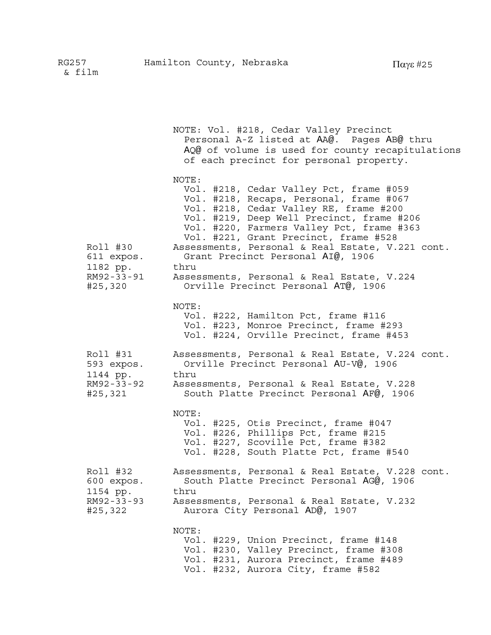NOTE: Vol. #218, Cedar Valley Precinct Personal A-Z listed at AA@. Pages AB@ thru AQ@ of volume is used for county recapitulations of each precinct for personal property. NOTE: Vol. #218, Cedar Valley Pct, frame #059 Vol. #218, Recaps, Personal, frame #067 Vol. #218, Cedar Valley RE, frame #200 Vol. #219, Deep Well Precinct, frame #206 Vol. #220, Farmers Valley Pct, frame #363 Vol. #221, Grant Precinct, frame #528 Roll #30 Assessments, Personal & Real Estate, V.221 cont. 611 expos. Grant Precinct Personal AI@, 1906 1182 pp. thru RM92-33-91 Assessments, Personal & Real Estate, V.224 #25,320 Orville Precinct Personal AT@, 1906 NOTE: Vol. #222, Hamilton Pct, frame #116 Vol. #223, Monroe Precinct, frame #293 Vol. #224, Orville Precinct, frame #453 Roll #31 Assessments, Personal & Real Estate, V.224 cont. 593 expos. Orville Precinct Personal AU-V@, 1906 1144 pp. thru RM92-33-92 Assessments, Personal & Real Estate, V.228 #25,321 South Platte Precinct Personal AF@, 1906 NOTE: Vol. #225, Otis Precinct, frame #047 Vol. #226, Phillips Pct, frame #215 Vol. #227, Scoville Pct, frame #382 Vol. #228, South Platte Pct, frame #540 Roll #32 Assessments, Personal & Real Estate, V.228 cont. 600 expos. South Platte Precinct Personal AG@, 1906 1154 pp. thru RM92-33-93 Assessments, Personal & Real Estate, V.232 #25,322 Aurora City Personal AD@, 1907 NOTE: Vol. #229, Union Precinct, frame #148 Vol. #230, Valley Precinct, frame #308 Vol. #231, Aurora Precinct, frame #489 Vol. #232, Aurora City, frame #582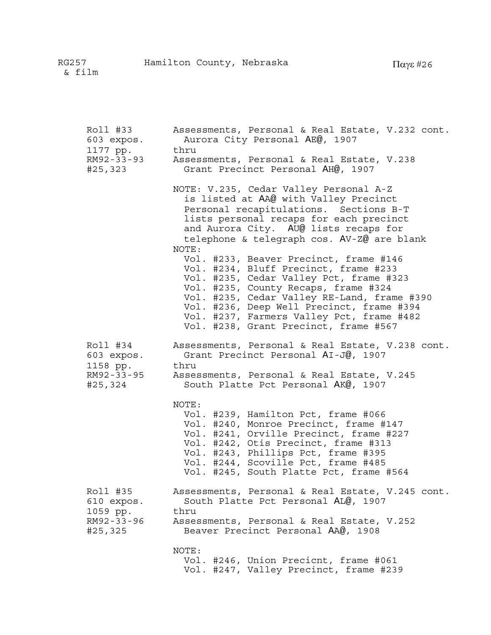| Roll #33   | Assessments, Personal & Real Estate, V.232 cont.                                                                                                                                                                                                                                                                                                                                                                                                                                                                                                                                                                             |
|------------|------------------------------------------------------------------------------------------------------------------------------------------------------------------------------------------------------------------------------------------------------------------------------------------------------------------------------------------------------------------------------------------------------------------------------------------------------------------------------------------------------------------------------------------------------------------------------------------------------------------------------|
| 603 expos. | Aurora City Personal AE@, 1907                                                                                                                                                                                                                                                                                                                                                                                                                                                                                                                                                                                               |
| 1177 pp.   | thru                                                                                                                                                                                                                                                                                                                                                                                                                                                                                                                                                                                                                         |
| RM92-33-93 | Assessments, Personal & Real Estate, V.238                                                                                                                                                                                                                                                                                                                                                                                                                                                                                                                                                                                   |
| #25,323    | Grant Precinct Personal AH@, 1907                                                                                                                                                                                                                                                                                                                                                                                                                                                                                                                                                                                            |
|            | NOTE: V.235, Cedar Valley Personal A-Z<br>is listed at AA@ with Valley Precinct<br>Personal recapitulations. Sections B-T<br>lists personal recaps for each precinct<br>and Aurora City. AU@ lists recaps for<br>telephone & telegraph cos. AV-Z@ are blank<br>NOTE:<br>Vol. #233, Beaver Precinct, frame #146<br>Vol. #234, Bluff Precinct, frame #233<br>Vol. #235, Cedar Valley Pct, frame #323<br>Vol. #235, County Recaps, frame #324<br>Vol. #235, Cedar Valley RE-Land, frame #390<br>Vol. #236, Deep Well Precinct, frame #394<br>Vol. #237, Farmers Valley Pct, frame #482<br>Vol. #238, Grant Precinct, frame #567 |
| Roll #34   | Assessments, Personal & Real Estate, V.238 cont.                                                                                                                                                                                                                                                                                                                                                                                                                                                                                                                                                                             |
| 603 expos. | Grant Precinct Personal AI-J@, 1907                                                                                                                                                                                                                                                                                                                                                                                                                                                                                                                                                                                          |
| 1158 pp.   | thru                                                                                                                                                                                                                                                                                                                                                                                                                                                                                                                                                                                                                         |
| RM92-33-95 | Assessments, Personal & Real Estate, V.245                                                                                                                                                                                                                                                                                                                                                                                                                                                                                                                                                                                   |
| #25,324    | South Platte Pct Personal AK@, 1907                                                                                                                                                                                                                                                                                                                                                                                                                                                                                                                                                                                          |
|            | NOTE:<br>Vol. #239, Hamilton Pct, frame #066<br>Vol. #240, Monroe Precinct, frame #147<br>Vol. #241, Orville Precinct, frame #227<br>Vol. #242, Otis Precinct, frame #313<br>Vol. #243, Phillips Pct, frame #395<br>Vol. #244, Scoville Pct, frame #485<br>Vol. #245, South Platte Pct, frame #564                                                                                                                                                                                                                                                                                                                           |
| Roll #35   | Assessments, Personal & Real Estate, V.245 cont.                                                                                                                                                                                                                                                                                                                                                                                                                                                                                                                                                                             |
| 610 expos. | South Platte Pct Personal AL@, 1907                                                                                                                                                                                                                                                                                                                                                                                                                                                                                                                                                                                          |
| 1059 pp.   | thru                                                                                                                                                                                                                                                                                                                                                                                                                                                                                                                                                                                                                         |
| RM92-33-96 | Assessments, Personal & Real Estate, V.252                                                                                                                                                                                                                                                                                                                                                                                                                                                                                                                                                                                   |
| #25,325    | Beaver Precinct Personal AA@, 1908                                                                                                                                                                                                                                                                                                                                                                                                                                                                                                                                                                                           |
|            | NOTE:<br>Vol. #246, Union Precicnt, frame #061<br>Vol. #247, Valley Precinct, frame #239                                                                                                                                                                                                                                                                                                                                                                                                                                                                                                                                     |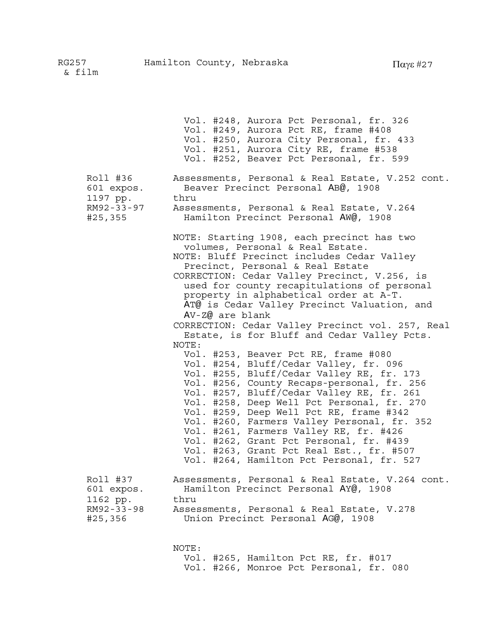Vol. #248, Aurora Pct Personal, fr. 326 Vol. #249, Aurora Pct RE, frame #408 Vol. #250, Aurora City Personal, fr. 433 Vol. #251, Aurora City RE, frame #538 Vol. #252, Beaver Pct Personal, fr. 599 Roll #36 Assessments, Personal & Real Estate, V.252 cont. 601 expos. Beaver Precinct Personal AB@, 1908 1197 pp. thru RM92-33-97 Assessments, Personal & Real Estate, V.264 #25,355 Hamilton Precinct Personal AW@, 1908 NOTE: Starting 1908, each precinct has two volumes, Personal & Real Estate. NOTE: Bluff Precinct includes Cedar Valley Precinct, Personal & Real Estate CORRECTION: Cedar Valley Precinct, V.256, is used for county recapitulations of personal property in alphabetical order at A-T. AT@ is Cedar Valley Precinct Valuation, and AV-Z@ are blank CORRECTION: Cedar Valley Precinct vol. 257, Real Estate, is for Bluff and Cedar Valley Pcts. NOTE: Vol. #253, Beaver Pct RE, frame #080 Vol. #254, Bluff/Cedar Valley, fr. 096 Vol. #255, Bluff/Cedar Valley RE, fr. 173 Vol. #256, County Recaps-personal, fr. 256 Vol. #257, Bluff/Cedar Valley RE, fr. 261 Vol. #258, Deep Well Pct Personal, fr. 270 Vol. #259, Deep Well Pct RE, frame #342 Vol. #260, Farmers Valley Personal, fr. 352 Vol. #261, Farmers Valley RE, fr. #426 Vol. #262, Grant Pct Personal, fr. #439 Vol. #263, Grant Pct Real Est., fr. #507 Vol. #264, Hamilton Pct Personal, fr. 527 Roll #37 Assessments, Personal & Real Estate, V.264 cont. 601 expos. Hamilton Precinct Personal AY@, 1908 1162 pp. thru RM92-33-98 Assessments, Personal & Real Estate, V.278 #25,356 Union Precinct Personal AG@, 1908 NOTE: Vol. #265, Hamilton Pct RE, fr. #017

Vol. #266, Monroe Pct Personal, fr. 080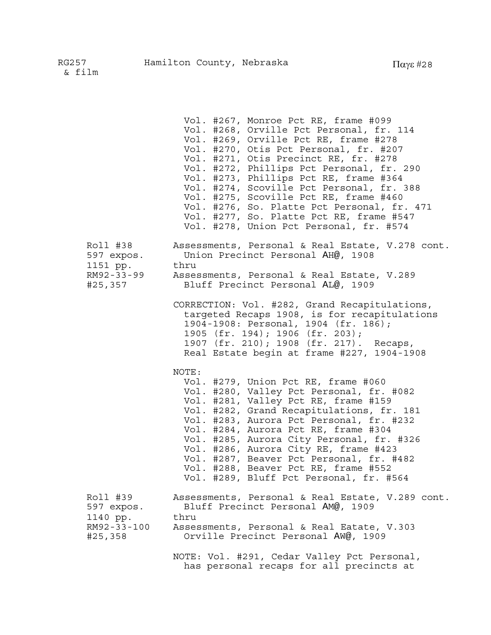|                                                              | Vol. #267, Monroe Pct RE, frame #099<br>Vol. #268, Orville Pct Personal, fr. 114<br>Vol. #269, Orville Pct RE, frame #278<br>Vol. #270, Otis Pct Personal, fr. #207<br>Vol. #271, Otis Precinct RE, fr. #278<br>Vol. #272, Phillips Pct Personal, fr. 290<br>Vol. #273, Phillips Pct RE, frame #364<br>Vol. #274, Scoville Pct Personal, fr. 388<br>Vol. #275, Scoville Pct RE, frame #460<br>Vol. #276, So. Platte Pct Personal, fr. 471<br>Vol. #277, So. Platte Pct RE, frame #547<br>Vol. #278, Union Pct Personal, fr. #574 |
|--------------------------------------------------------------|----------------------------------------------------------------------------------------------------------------------------------------------------------------------------------------------------------------------------------------------------------------------------------------------------------------------------------------------------------------------------------------------------------------------------------------------------------------------------------------------------------------------------------|
| Roll #38<br>597 expos.<br>1151 pp.<br>RM92-33-99<br>#25,357  | Assessments, Personal & Real Estate, V.278 cont.<br>Union Precinct Personal AH@, 1908<br>thru<br>Assessments, Personal & Real Estate, V.289<br>Bluff Precinct Personal AL@, 1909                                                                                                                                                                                                                                                                                                                                                 |
|                                                              | CORRECTION: Vol. #282, Grand Recapitulations,<br>targeted Recaps 1908, is for recapitulations<br>1904-1908: Personal, 1904 (fr. 186);<br>1905 (fr. 194); 1906 (fr. 203);<br>1907 (fr. 210); 1908 (fr. 217). Recaps,<br>Real Estate begin at frame #227, 1904-1908                                                                                                                                                                                                                                                                |
|                                                              | NOTE:<br>Vol. #279, Union Pct RE, frame #060<br>Vol. #280, Valley Pct Personal, fr. #082<br>Vol. #281, Valley Pct RE, frame #159<br>Vol. #282, Grand Recapitulations, fr. 181<br>Vol. #283, Aurora Pct Personal, fr. #232<br>Vol. #284, Aurora Pct RE, frame #304<br>Vol. #285, Aurora City Personal, fr. #326<br>Vol. #286, Aurora City RE, frame #423<br>Vol. #287, Beaver Pct Personal, fr. #482<br>Vol. #288, Beaver Pct RE, frame #552<br>Vol. #289, Bluff Pct Personal, fr. #564                                           |
| Roll #39<br>597 expos.<br>1140 pp.<br>RM92-33-100<br>#25,358 | Assessments, Personal & Real Estate, V.289 cont.<br>Bluff Precinct Personal AM@, 1909<br>thru<br>Assessments, Personal & Real Eatate, V.303<br>Orville Precinct Personal AW@, 1909<br>NOTE: Vol. #291, Cedar Valley Pct Personal,<br>has personal recaps for all precincts at                                                                                                                                                                                                                                                    |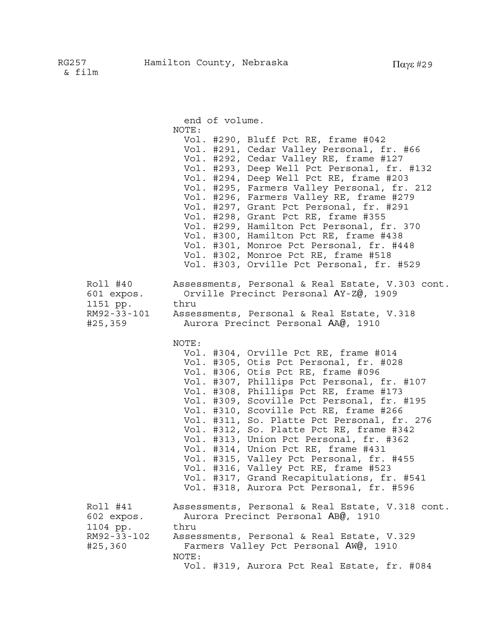|                                                              | end of volume.                                                                                                                                                                                                                                                                                                                                                                                                                                                                                                                                                                                                                                                            |
|--------------------------------------------------------------|---------------------------------------------------------------------------------------------------------------------------------------------------------------------------------------------------------------------------------------------------------------------------------------------------------------------------------------------------------------------------------------------------------------------------------------------------------------------------------------------------------------------------------------------------------------------------------------------------------------------------------------------------------------------------|
|                                                              | NOTE:<br>Vol. #290, Bluff Pct RE, frame #042<br>Vol. #291, Cedar Valley Personal, fr. #66<br>Vol. #292, Cedar Valley RE, frame #127<br>Vol. #293, Deep Well Pct Personal, fr. #132<br>Vol. #294, Deep Well Pct RE, frame #203<br>Vol. #295, Farmers Valley Personal, fr. 212<br>Vol. #296, Farmers Valley RE, frame #279<br>Vol. #297, Grant Pct Personal, fr. #291<br>Vol. #298, Grant Pct RE, frame #355<br>Vol. #299, Hamilton Pct Personal, fr. 370<br>Vol. #300, Hamilton Pct RE, frame #438<br>Vol. #301, Monroe Pct Personal, fr. #448<br>Vol. #302, Monroe Pct RE, frame #518<br>Vol. #303, Orville Pct Personal, fr. #529                                        |
| Roll #40<br>601 expos.<br>1151 pp.<br>RM92-33-101<br>#25,359 | Assessments, Personal & Real Estate, V.303 cont.<br>Orville Precinct Personal AY-Z@, 1909<br>thru<br>Assessments, Personal & Real Estate, V.318<br>Aurora Precinct Personal AA@, 1910                                                                                                                                                                                                                                                                                                                                                                                                                                                                                     |
|                                                              | NOTE:<br>Vol. #304, Orville Pct RE, frame #014<br>Vol. #305, Otis Pct Personal, fr. #028<br>Vol. #306, Otis Pct RE, frame #096<br>Vol. #307, Phillips Pct Personal, fr. #107<br>Vol. #308, Phillips Pct RE, frame #173<br>Vol. #309, Scoville Pct Personal, fr. #195<br>Vol. #310, Scoville Pct RE, frame #266<br>Vol. #311, So. Platte Pct Personal, fr. 276<br>Vol. #312, So. Platte Pct RE, frame #342<br>Vol. #313, Union Pct Personal, fr. #362<br>Vol. #314, Union Pct RE, frame #431<br>Vol. #315, Valley Pct Personal, fr. #455<br>Vol. #316, Valley Pct RE, frame #523<br>Vol. #317, Grand Recapitulations, fr. #541<br>Vol. #318, Aurora Pct Personal, fr. #596 |
| Roll #41<br>602 expos.<br>1104 pp.<br>RM92-33-102<br>#25,360 | Assessments, Personal & Real Estate, V.318 cont.<br>Aurora Precinct Personal AB@, 1910<br>thru<br>Assessments, Personal & Real Estate, V.329<br>Farmers Valley Pct Personal AW@, 1910<br>NOTE:<br>Vol. #319, Aurora Pct Real Estate, fr. #084                                                                                                                                                                                                                                                                                                                                                                                                                             |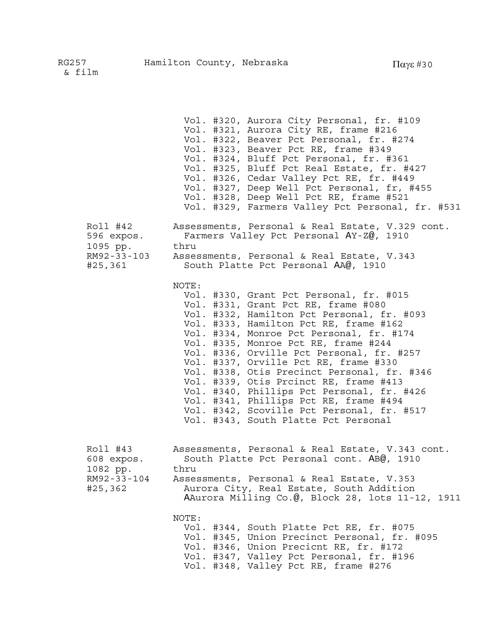Vol. #320, Aurora City Personal, fr. #109 Vol. #321, Aurora City RE, frame #216 Vol. #322, Beaver Pct Personal, fr. #274 Vol. #323, Beaver Pct RE, frame #349 Vol. #324, Bluff Pct Personal, fr. #361 Vol. #325, Bluff Pct Real Estate, fr. #427 Vol. #326, Cedar Valley Pct RE, fr. #449 Vol. #327, Deep Well Pct Personal, fr, #455 Vol. #328, Deep Well Pct RE, frame #521 Vol. #329, Farmers Valley Pct Personal, fr. #531 Roll #42 Assessments, Personal & Real Estate, V.329 cont. 596 expos. Farmers Valley Pct Personal AY-Z@, 1910 1095 pp. thru RM92-33-103 Assessments, Personal & Real Estate, V.343 #25,361 South Platte Pct Personal AA@, 1910 NOTE: Vol. #330, Grant Pct Personal, fr. #015 Vol. #331, Grant Pct RE, frame #080 Vol. #332, Hamilton Pct Personal, fr. #093 Vol. #333, Hamilton Pct RE, frame #162 Vol. #334, Monroe Pct Personal, fr. #174 Vol. #335, Monroe Pct RE, frame #244 Vol. #336, Orville Pct Personal, fr. #257 Vol. #337, Orville Pct RE, frame #330 Vol. #338, Otis Precinct Personal, fr. #346 Vol. #339, Otis Prcinct RE, frame #413 Vol. #340, Phillips Pct Personal, fr. #426 Vol. #341, Phillips Pct RE, frame #494 Vol. #342, Scoville Pct Personal, fr. #517 Vol. #343, South Platte Pct Personal Roll #43 Assessments, Personal & Real Estate, V.343 cont. 608 expos. South Platte Pct Personal cont. AB@, 1910 1082 pp. thru RM92-33-104 Assessments, Personal & Real Estate, V.353 #25,362 Aurora City, Real Estate, South Addition AAurora Milling Co.@, Block 28, lots 11-12, 1911 NOTE: Vol. #344, South Platte Pct RE, fr. #075 Vol. #345, Union Precinct Personal, fr. #095 Vol. #346, Union Precicnt RE, fr. #172 Vol. #347, Valley Pct Personal, fr. #196 Vol. #348, Valley Pct RE, frame #276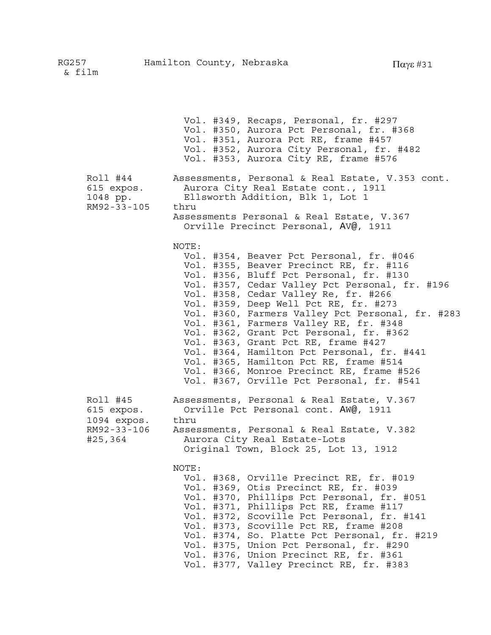|                                                                 | Vol. #349, Recaps, Personal, fr. #297<br>Vol. #350, Aurora Pct Personal, fr. #368<br>Vol. #351, Aurora Pct RE, frame #457<br>Vol. #352, Aurora City Personal, fr. #482<br>Vol. #353, Aurora City RE, frame #576                                                                                                                                                                                                                                                                                                                                                                                                                              |
|-----------------------------------------------------------------|----------------------------------------------------------------------------------------------------------------------------------------------------------------------------------------------------------------------------------------------------------------------------------------------------------------------------------------------------------------------------------------------------------------------------------------------------------------------------------------------------------------------------------------------------------------------------------------------------------------------------------------------|
| Roll #44<br>615 expos.<br>1048 pp.<br>RM92-33-105               | Assessments, Personal & Real Estate, V.353 cont.<br>Aurora City Real Estate cont., 1911<br>Ellsworth Addition, Blk 1, Lot 1<br>thru<br>Assessments Personal & Real Estate, V.367<br>Orville Precinct Personal, AV@, 1911                                                                                                                                                                                                                                                                                                                                                                                                                     |
|                                                                 | NOTE:<br>Vol. #354, Beaver Pct Personal, fr. #046<br>Vol. #355, Beaver Precinct RE, fr. #116<br>Vol. #356, Bluff Pct Personal, fr. #130<br>Vol. #357, Cedar Valley Pct Personal, fr. #196<br>Vol. #358, Cedar Valley Re, fr. #266<br>Vol. #359, Deep Well Pct RE, fr. #273<br>Vol. #360, Farmers Valley Pct Personal, fr. #283<br>Vol. #361, Farmers Valley RE, fr. #348<br>Vol. #362, Grant Pct Personal, fr. #362<br>Vol. #363, Grant Pct RE, frame #427<br>Vol. #364, Hamilton Pct Personal, fr. #441<br>Vol. #365, Hamilton Pct RE, frame #514<br>Vol. #366, Monroe Precinct RE, frame #526<br>Vol. #367, Orville Pct Personal, fr. #541 |
| Roll #45<br>615 expos.<br>1094 expos.<br>RM92-33-106<br>#25,364 | Assessments, Personal & Real Estate, V.367<br>Orville Pct Personal cont. AW@, 1911<br>thru<br>Assessments, Personal & Real Estate, V.382<br>Aurora City Real Estate-Lots<br>Original Town, Block 25, Lot 13, 1912                                                                                                                                                                                                                                                                                                                                                                                                                            |
|                                                                 | NOTE:<br>Vol. #368, Orville Precinct RE, fr. #019<br>Vol. #369, Otis Precinct RE, fr. #039<br>Vol. #370, Phillips Pct Personal, fr. #051<br>Vol. #371, Phillips Pct RE, frame #117<br>Vol. #372, Scoville Pct Personal, fr. #141<br>Vol. #373, Scoville Pct RE, frame #208<br>Vol. #374, So. Platte Pct Personal, fr. #219<br>Vol. #375, Union Pct Personal, fr. #290<br>Vol. #376, Union Precinct RE, fr. #361<br>Vol. #377, Valley Precinct RE, fr. #383                                                                                                                                                                                   |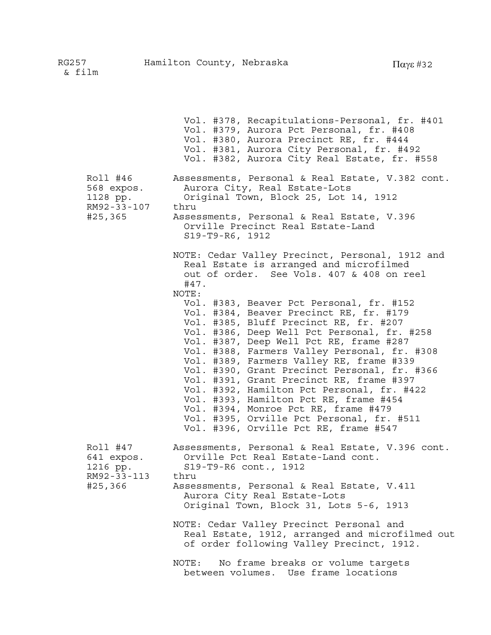Vol. #378, Recapitulations-Personal, fr. #401 Vol. #379, Aurora Pct Personal, fr. #408 Vol. #380, Aurora Precinct RE, fr. #444 Vol. #381, Aurora City Personal, fr. #492 Vol. #382, Aurora City Real Estate, fr. #558 Roll #46 Assessments, Personal & Real Estate, V.382 cont. 568 expos. Aurora City, Real Estate-Lots 1128 pp. Original Town, Block 25, Lot 14, 1912 RM92-33-107 thru #25,365 Assessments, Personal & Real Estate, V.396 Orville Precinct Real Estate-Land S19-T9-R6, 1912 NOTE: Cedar Valley Precinct, Personal, 1912 and Real Estate is arranged and microfilmed out of order. See Vols. 407 & 408 on reel #47. NOTE: Vol. #383, Beaver Pct Personal, fr. #152 Vol. #384, Beaver Precinct RE, fr. #179 Vol. #385, Bluff Precinct RE, fr. #207 Vol. #386, Deep Well Pct Personal, fr. #258 Vol. #387, Deep Well Pct RE, frame #287 Vol. #388, Farmers Valley Personal, fr. #308 Vol. #389, Farmers Valley RE, frame #339 Vol. #390, Grant Precinct Personal, fr. #366 Vol. #391, Grant Precinct RE, frame #397 Vol. #392, Hamilton Pct Personal, fr. #422 Vol. #393, Hamilton Pct RE, frame #454 Vol. #394, Monroe Pct RE, frame #479 Vol. #395, Orville Pct Personal, fr. #511 Vol. #396, Orville Pct RE, frame #547 Roll #47 Assessments, Personal & Real Estate, V.396 cont. 641 expos. Orville Pct Real Estate-Land cont. 1216 pp. S19-T9-R6 cont., 1912 RM92-33-113 thru #25,366 Assessments, Personal & Real Estate, V.411 Aurora City Real Estate-Lots Original Town, Block 31, Lots 5-6, 1913 NOTE: Cedar Valley Precinct Personal and Real Estate, 1912, arranged and microfilmed out of order following Valley Precinct, 1912. NOTE: No frame breaks or volume targets between volumes. Use frame locations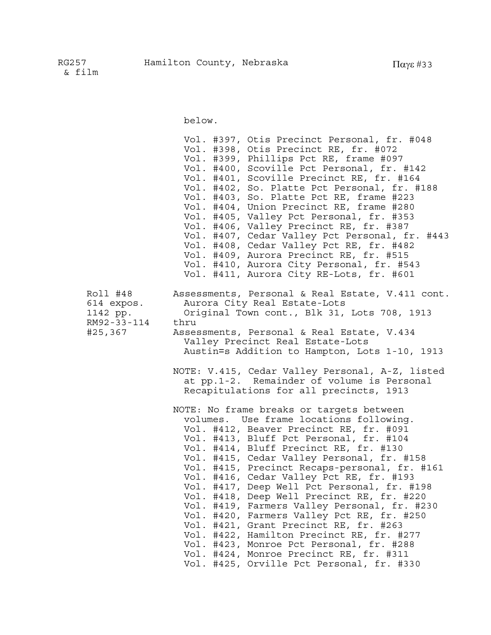below.

|                                                              | Vol. #397, Otis Precinct Personal, fr. #048<br>Vol. #398, Otis Precinct RE, fr. #072<br>Vol. #399, Phillips Pct RE, frame #097<br>Vol. #400, Scoville Pct Personal, fr. #142<br>Vol. #401, Scoville Precinct RE, fr. #164<br>Vol. #402, So. Platte Pct Personal, fr. #188<br>Vol. #403, So. Platte Pct RE, frame #223<br>Vol. #404, Union Precinct RE, frame #280<br>Vol. #405, Valley Pct Personal, fr. #353<br>Vol. #406, Valley Precinct RE, fr. #387<br>Vol. #407, Cedar Valley Pct Personal, fr. #443<br>Vol. #408, Cedar Valley Pct RE, fr. #482<br>Vol. #409, Aurora Precinct RE, fr. #515<br>Vol. #410, Aurora City Personal, fr. #543<br>Vol. #411, Aurora City RE-Lots, fr. #601                                                                                              |
|--------------------------------------------------------------|-----------------------------------------------------------------------------------------------------------------------------------------------------------------------------------------------------------------------------------------------------------------------------------------------------------------------------------------------------------------------------------------------------------------------------------------------------------------------------------------------------------------------------------------------------------------------------------------------------------------------------------------------------------------------------------------------------------------------------------------------------------------------------------------|
| Roll #48<br>614 expos.<br>1142 pp.<br>RM92-33-114<br>#25,367 | Assessments, Personal & Real Estate, V.411 cont.<br>Aurora City Real Estate-Lots<br>Original Town cont., Blk 31, Lots 708, 1913<br>thru<br>Assessments, Personal & Real Estate, V.434<br>Valley Precinct Real Estate-Lots<br>Austin=s Addition to Hampton, Lots 1-10, 1913<br>NOTE: V.415, Cedar Valley Personal, A-Z, listed<br>at pp.1-2. Remainder of volume is Personal<br>Recapitulations for all precincts, 1913                                                                                                                                                                                                                                                                                                                                                                  |
|                                                              | NOTE: No frame breaks or targets between<br>volumes. Use frame locations following.<br>Vol. #412, Beaver Precinct RE, fr. #091<br>Vol. #413, Bluff Pct Personal, fr. #104<br>Vol. #414, Bluff Precinct RE, fr. #130<br>Vol. #415, Cedar Valley Personal, fr. #158<br>Vol. #415, Precinct Recaps-personal, fr. #161<br>Vol. #416, Cedar Valley Pct RE, fr. #193<br>Vol. #417, Deep Well Pct Personal, fr. #198<br>Vol. #418, Deep Well Precinct RE, fr. #220<br>Vol. #419, Farmers Valley Personal, fr. #230<br>Vol. #420, Farmers Valley Pct RE, fr. #250<br>Vol. #421, Grant Precinct RE, fr. #263<br>Vol. #422, Hamilton Precinct RE, fr. #277<br>Vol. #423, Monroe Pct Personal, fr. #288<br>Vol. #424, Monroe Precinct RE, fr. #311<br>#425, Orville Pct Personal, fr. #330<br>Vol. |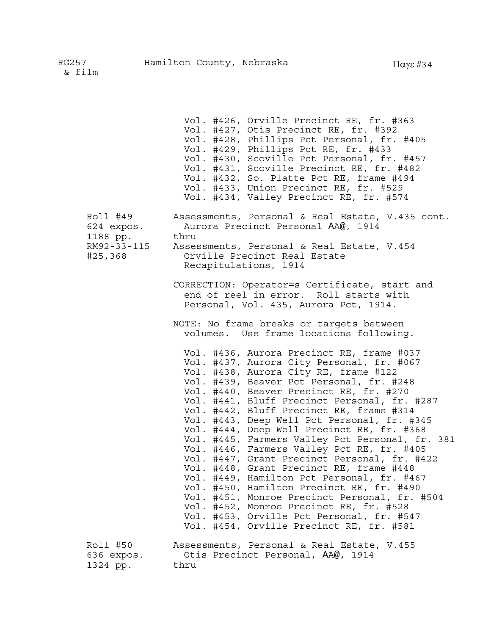Vol. #426, Orville Precinct RE, fr. #363 Vol. #427, Otis Precinct RE, fr. #392 Vol. #428, Phillips Pct Personal, fr. #405 Vol. #429, Phillips Pct RE, fr. #433 Vol. #430, Scoville Pct Personal, fr. #457 Vol. #431, Scoville Precinct RE, fr. #482 Vol. #432, So. Platte Pct RE, frame #494 Vol. #433, Union Precinct RE, fr. #529 Vol. #434, Valley Precinct RE, fr. #574 Roll #49 Assessments, Personal & Real Estate, V.435 cont. 624 expos. Aurora Precinct Personal AA@, 1914 1188 pp. thru RM92-33-115 Assessments, Personal & Real Estate, V.454 #25,368 Orville Precinct Real Estate Recapitulations, 1914 CORRECTION: Operator=s Certificate, start and end of reel in error. Roll starts with Personal, Vol. 435, Aurora Pct, 1914. NOTE: No frame breaks or targets between volumes. Use frame locations following. Vol. #436, Aurora Precinct RE, frame #037 Vol. #437, Aurora City Personal, fr. #067 Vol. #438, Aurora City RE, frame #122 Vol. #439, Beaver Pct Personal, fr. #248 Vol. #440, Beaver Precinct RE, fr. #270 Vol. #441, Bluff Precinct Personal, fr. #287 Vol. #442, Bluff Precinct RE, frame #314 Vol. #443, Deep Well Pct Personal, fr. #345 Vol. #444, Deep Well Precinct RE, fr. #368 Vol. #445, Farmers Valley Pct Personal, fr. 381 Vol. #446, Farmers Valley Pct RE, fr. #405 Vol. #447, Grant Precinct Personal, fr. #422 Vol. #448, Grant Precinct RE, frame #448 Vol. #449, Hamilton Pct Personal, fr. #467 Vol. #450, Hamilton Precinct RE, fr. #490 Vol. #451, Monroe Precinct Personal, fr. #504 Vol. #452, Monroe Precinct RE, fr. #528 Vol. #453, Orville Pct Personal, fr. #547 Vol. #454, Orville Precinct RE, fr. #581 Roll #50 Assessments, Personal & Real Estate, V.455 636 expos. Otis Precinct Personal, AA@, 1914 1324 pp. thru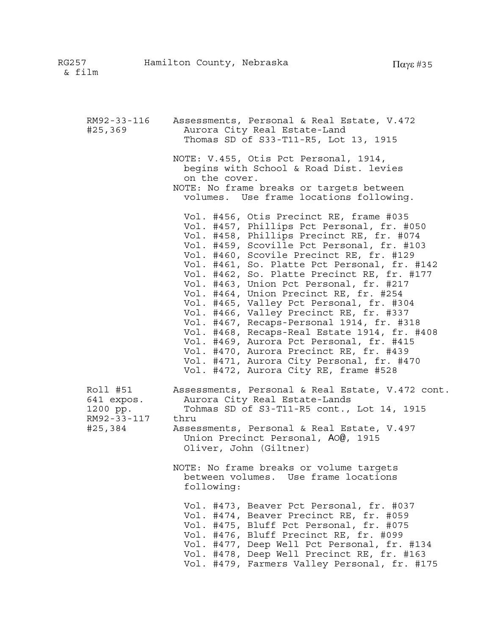| RM92-33-116<br>#25,369                                       | Assessments, Personal & Real Estate, V.472<br>Aurora City Real Estate-Land<br>Thomas SD of S33-T11-R5, Lot 13, 1915                                                                                                                                                                                                                                                                                                                                                                                                                                                                                                                                                                                                                                                               |
|--------------------------------------------------------------|-----------------------------------------------------------------------------------------------------------------------------------------------------------------------------------------------------------------------------------------------------------------------------------------------------------------------------------------------------------------------------------------------------------------------------------------------------------------------------------------------------------------------------------------------------------------------------------------------------------------------------------------------------------------------------------------------------------------------------------------------------------------------------------|
|                                                              | NOTE: V.455, Otis Pct Personal, 1914,<br>begins with School & Road Dist. levies<br>on the cover.<br>NOTE: No frame breaks or targets between<br>volumes. Use frame locations following.                                                                                                                                                                                                                                                                                                                                                                                                                                                                                                                                                                                           |
|                                                              | Vol. #456, Otis Precinct RE, frame #035<br>Vol. #457, Phillips Pct Personal, fr. #050<br>Vol. #458, Phillips Precinct RE, fr. #074<br>Vol. #459, Scoville Pct Personal, fr. #103<br>Vol. #460, Scovile Precinct RE, fr. #129<br>Vol. #461, So. Platte Pct Personal, fr. #142<br>Vol. #462, So. Platte Precinct RE, fr. #177<br>Vol. #463, Union Pct Personal, fr. #217<br>Vol. #464, Union Precinct RE, fr. #254<br>Vol. #465, Valley Pct Personal, fr. #304<br>Vol. #466, Valley Precinct RE, fr. #337<br>Vol. #467, Recaps-Personal 1914, fr. #318<br>Vol. #468, Recaps-Real Estate 1914, fr. #408<br>Vol. #469, Aurora Pct Personal, fr. #415<br>Vol. #470, Aurora Precinct RE, fr. #439<br>Vol. #471, Aurora City Personal, fr. #470<br>Vol. #472, Aurora City RE, frame #528 |
| Roll #51<br>641 expos.<br>1200 pp.<br>RM92-33-117<br>#25,384 | Assessments, Personal & Real Estate, V.472 cont.<br>Aurora City Real Estate-Lands<br>Tohmas SD of S3-T11-R5 cont., Lot 14, 1915<br>thru<br>Assessments, Personal & Real Estate, V.497<br>Union Precinct Personal, AO@, 1915<br>Oliver, John (Giltner)                                                                                                                                                                                                                                                                                                                                                                                                                                                                                                                             |
|                                                              | NOTE: No frame breaks or volume targets<br>between volumes. Use frame locations<br>following:                                                                                                                                                                                                                                                                                                                                                                                                                                                                                                                                                                                                                                                                                     |
|                                                              | Vol. #473, Beaver Pct Personal, fr. #037<br>Vol. #474, Beaver Precinct RE, fr. #059<br>Vol. #475, Bluff Pct Personal, fr. #075<br>Vol. #476, Bluff Precinct RE, fr. #099<br>Vol. #477, Deep Well Pct Personal, fr. #134<br>Vol. #478, Deep Well Precinct RE, fr. #163<br>Vol. #479, Farmers Valley Personal, fr. #175                                                                                                                                                                                                                                                                                                                                                                                                                                                             |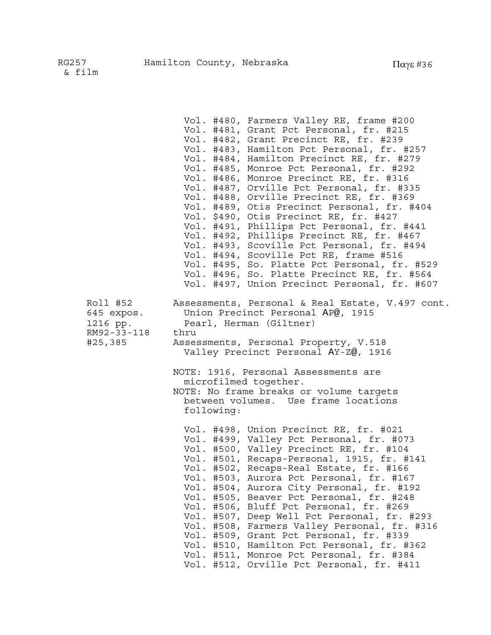|                                                              | Vol. #480, Farmers Valley RE, frame #200<br>Vol. #481, Grant Pct Personal, fr. #215<br>Vol. #482, Grant Precinct RE, fr. #239<br>Vol. #483, Hamilton Pct Personal, fr. #257<br>Vol. #484, Hamilton Precinct RE, fr. #279<br>Vol. #485, Monroe Pct Personal, fr. #292<br>Vol. #486, Monroe Precinct RE, fr. #316<br>Vol. #487, Orville Pct Personal, fr. #335<br>Vol. #488, Orville Precinct RE, fr. #369<br>Vol. #489, Otis Precinct Personal, fr. #404<br>Vol. \$490, Otis Precinct RE, fr. #427<br>Vol. #491, Phillips Pct Personal, fr. #441<br>Vol. #492, Phillips Precinct RE, fr. #467<br>Vol. #493, Scoville Pct Personal, fr. #494<br>Vol. #494, Scoville Pct RE, frame #516<br>Vol. #495, So. Platte Pct Personal, fr. #529<br>Vol. #496, So. Platte Precinct RE, fr. #564<br>Vol. #497, Union Precinct Personal, fr. #607 |
|--------------------------------------------------------------|-------------------------------------------------------------------------------------------------------------------------------------------------------------------------------------------------------------------------------------------------------------------------------------------------------------------------------------------------------------------------------------------------------------------------------------------------------------------------------------------------------------------------------------------------------------------------------------------------------------------------------------------------------------------------------------------------------------------------------------------------------------------------------------------------------------------------------------|
| Roll #52<br>645 expos.<br>1216 pp.<br>RM92-33-118<br>#25,385 | Assessments, Personal & Real Estate, V.497 cont.<br>Union Precinct Personal AP@, 1915<br>Pearl, Herman (Giltner)<br>thru<br>Assessments, Personal Property, V.518<br>Valley Precinct Personal AY-Z@, 1916<br>NOTE: 1916, Personal Assessments are<br>microfilmed together.<br>NOTE: No frame breaks or volume targets<br>between volumes. Use frame locations<br>following:                                                                                                                                                                                                                                                                                                                                                                                                                                                         |
|                                                              | Vol. #498, Union Precinct RE, fr. #021<br>Vol. #499, Valley Pct Personal, fr. #073<br>Vol. #500, Valley Precinct RE, fr. #104<br>Vol. #501, Recaps-Personal, 1915, fr. #141<br>Vol. #502, Recaps-Real Estate, fr. #166<br>Vol. #503, Aurora Pct Personal, fr. #167<br>Vol. #504, Aurora City Personal, fr. #192<br>Vol.<br>#505, Beaver Pct Personal, fr. #248<br>#506, Bluff Pct Personal, fr. #269<br>Vol.<br>#507, Deep Well Pct Personal, fr. #293<br>Vol.<br>#508, Farmers Valley Personal, fr. #316<br>Vol.<br>#509, Grant Pct Personal, fr. #339<br>Vol.<br>#510, Hamilton Pct Personal, fr. #362<br>Vol.<br>Vol.<br>#511, Monroe Pct Personal, fr. #384<br>Vol. #512, Orville Pct Personal, fr. #411                                                                                                                        |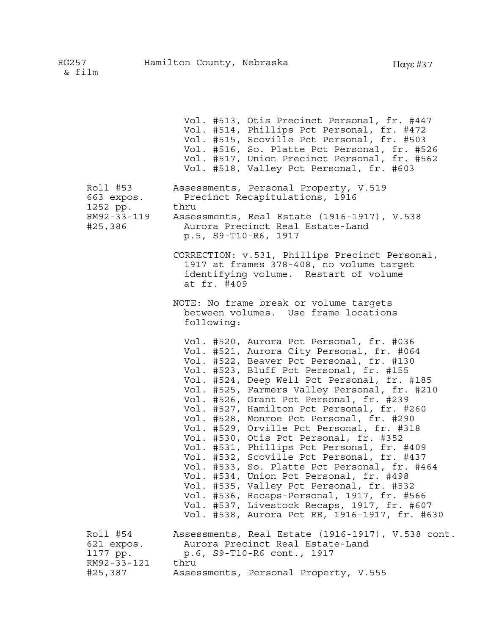Vol. #513, Otis Precinct Personal, fr. #447 Vol. #514, Phillips Pct Personal, fr. #472 Vol. #515, Scoville Pct Personal, fr. #503 Vol. #516, So. Platte Pct Personal, fr. #526 Vol. #517, Union Precinct Personal, fr. #562 Vol. #518, Valley Pct Personal, fr. #603 Roll #53 Assessments, Personal Property, V.519 663 expos. Precinct Recapitulations, 1916 1252 pp. thru RM92-33-119 Assessments, Real Estate (1916-1917), V.538 #25,386 Aurora Precinct Real Estate-Land p.5, S9-T10-R6, 1917 CORRECTION: v.531, Phillips Precinct Personal, 1917 at frames 378-408, no volume target identifying volume. Restart of volume at fr. #409 NOTE: No frame break or volume targets between volumes. Use frame locations following: Vol. #520, Aurora Pct Personal, fr. #036 Vol. #521, Aurora City Personal, fr. #064 Vol. #522, Beaver Pct Personal, fr. #130 Vol. #523, Bluff Pct Personal, fr. #155 Vol. #524, Deep Well Pct Personal, fr. #185 Vol. #525, Farmers Valley Personal, fr. #210 Vol. #526, Grant Pct Personal, fr. #239 Vol. #527, Hamilton Pct Personal, fr. #260 Vol. #528, Monroe Pct Personal, fr. #290 Vol. #529, Orville Pct Personal, fr. #318 Vol. #530, Otis Pct Personal, fr. #352 Vol. #531, Phillips Pct Personal, fr. #409 Vol. #532, Scoville Pct Personal, fr. #437 Vol. #533, So. Platte Pct Personal, fr. #464 Vol. #534, Union Pct Personal, fr. #498 Vol. #535, Valley Pct Personal, fr. #532 Vol. #536, Recaps-Personal, 1917, fr. #566 Vol. #537, Livestock Recaps, 1917, fr. #607 Vol. #538, Aurora Pct RE, 1916-1917, fr. #630 Roll #54 Assessments, Real Estate (1916-1917), V.538 cont. 621 expos. Aurora Precinct Real Estate-Land 1177 pp. p.6, S9-T10-R6 cont., 1917 RM92-33-121 thru #25,387 Assessments, Personal Property, V.555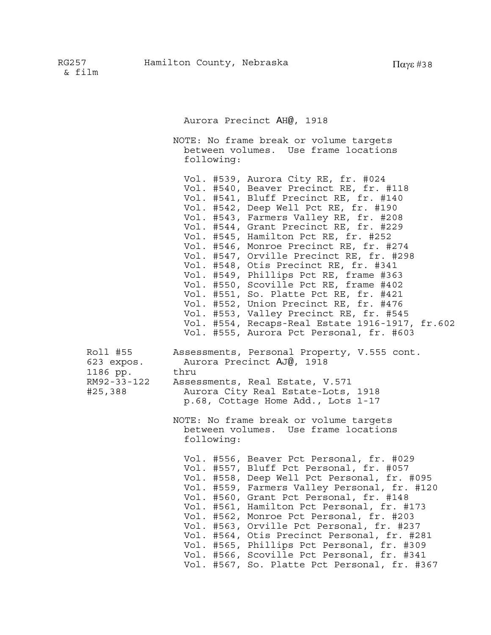Aurora Precinct AH@, 1918

NOTE: No frame break or volume targets between volumes. Use frame locations following: Vol. #539, Aurora City RE, fr. #024 Vol. #540, Beaver Precinct RE, fr. #118 Vol. #541, Bluff Precinct RE, fr. #140 Vol. #542, Deep Well Pct RE, fr. #190 Vol. #543, Farmers Valley RE, fr. #208 Vol. #544, Grant Precinct RE, fr. #229 Vol. #545, Hamilton Pct RE, fr. #252 Vol. #546, Monroe Precinct RE, fr. #274 Vol. #547, Orville Precinct RE, fr. #298 Vol. #548, Otis Precinct RE, fr. #341 Vol. #549, Phillips Pct RE, frame #363 Vol. #550, Scoville Pct RE, frame #402 Vol. #551, So. Platte Pct RE, fr. #421 Vol. #552, Union Precinct RE, fr. #476 Vol. #553, Valley Precinct RE, fr. #545 Vol. #554, Recaps-Real Estate 1916-1917, fr.602 Vol. #555, Aurora Pct Personal, fr. #603 Roll #55 Assessments, Personal Property, V.555 cont. 623 expos. Aurora Precinct AJ@, 1918 1186 pp. thru RM92-33-122 Assessments, Real Estate, V.571 #25,388 Aurora City Real Estate-Lots, 1918 p.68, Cottage Home Add., Lots 1-17 NOTE: No frame break or volume targets between volumes. Use frame locations following: Vol. #556, Beaver Pct Personal, fr. #029 Vol. #557, Bluff Pct Personal, fr. #057 Vol. #558, Deep Well Pct Personal, fr. #095 Vol. #559, Farmers Valley Personal, fr. #120 Vol. #560, Grant Pct Personal, fr. #148 Vol. #561, Hamilton Pct Personal, fr. #173 Vol. #562, Monroe Pct Personal, fr. #203 Vol. #563, Orville Pct Personal, fr. #237 Vol. #564, Otis Precinct Personal, fr. #281 Vol. #565, Phillips Pct Personal, fr. #309 Vol. #566, Scoville Pct Personal, fr. #341 Vol. #567, So. Platte Pct Personal, fr. #367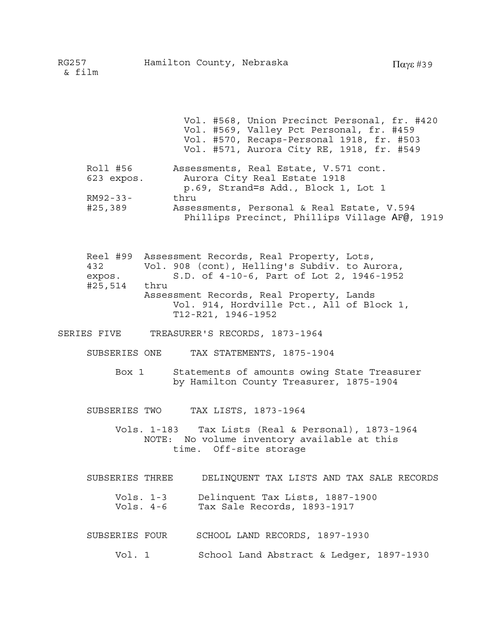Vol. #568, Union Precinct Personal, fr. #420 Vol. #569, Valley Pct Personal, fr. #459 Vol. #570, Recaps-Personal 1918, fr. #503 Vol. #571, Aurora City RE, 1918, fr. #549 Roll #56 Assessments, Real Estate, V.571 cont. 623 expos. Aurora City Real Estate 1918 p.69, Strand=s Add., Block 1, Lot 1 RM92-33- thru #25,389 Assessments, Personal & Real Estate, V.594 Phillips Precinct, Phillips Village AF@, 1919 Reel #99 Assessment Records, Real Property, Lots, 432 Vol. 908 (cont), Helling's Subdiv. to Aurora, expos. S.D. of 4-10-6, Part of Lot 2, 1946-1952 #25,514 thru Assessment Records, Real Property, Lands Vol. 914, Hordville Pct., All of Block 1, T12-R21, 1946-1952 SERIES FIVE TREASURER'S RECORDS, 1873-1964 SUBSERIES ONE TAX STATEMENTS, 1875-1904 Box 1 Statements of amounts owing State Treasurer by Hamilton County Treasurer, 1875-1904 SUBSERIES TWO TAX LISTS, 1873-1964 Vols. 1-183 Tax Lists (Real & Personal), 1873-1964 NOTE: No volume inventory available at this time. Off-site storage

SUBSERIES THREE DELINQUENT TAX LISTS AND TAX SALE RECORDS

| Vols. 1-3 | Delinquent Tax Lists, 1887-1900 |
|-----------|---------------------------------|
| Vols. 4-6 | Tax Sale Records, 1893-1917     |

- SUBSERIES FOUR SCHOOL LAND RECORDS, 1897-1930
	- Vol. 1 School Land Abstract & Ledger, 1897-1930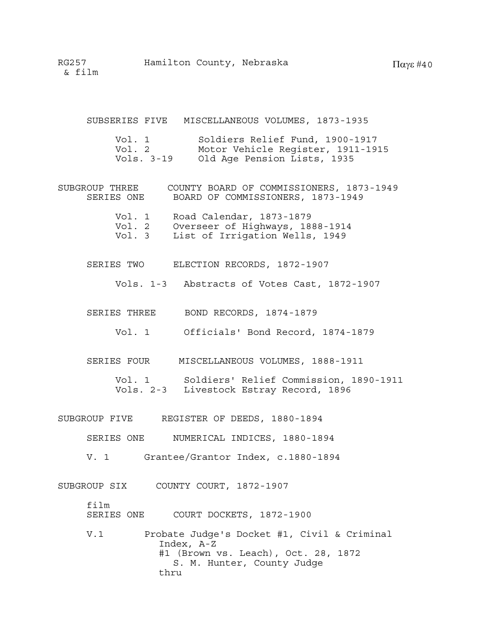SUBSERIES FIVE MISCELLANEOUS VOLUMES, 1873-1935

| Vol. 1     | Soldiers Relief Fund, 1900-1917   |
|------------|-----------------------------------|
| Vol. 2     | Motor Vehicle Register, 1911-1915 |
| Vols. 3-19 | Old Age Pension Lists, 1935       |

- SUBGROUP THREE COUNTY BOARD OF COMMISSIONERS, 1873-1949 SERIES ONE BOARD OF COMMISSIONERS, 1873-1949
	- Vol. 1 Road Calendar, 1873-1879 Vol. 2 Overseer of Highways, 1888-1914
	- Vol. 3 List of Irrigation Wells, 1949
	- SERIES TWO ELECTION RECORDS, 1872-1907
		- Vols. 1-3 Abstracts of Votes Cast, 1872-1907
	- SERIES THREE BOND RECORDS, 1874-1879
		- Vol. 1 Officials' Bond Record, 1874-1879
	- SERIES FOUR MISCELLANEOUS VOLUMES, 1888-1911
		- Vol. 1 Soldiers' Relief Commission, 1890-1911 Vols. 2-3 Livestock Estray Record, 1896
- SUBGROUP FIVE REGISTER OF DEEDS, 1880-1894
	- SERIES ONE NUMERICAL INDICES, 1880-1894
	- V. 1 Grantee/Grantor Index, c.1880-1894

SUBGROUP SIX COUNTY COURT, 1872-1907

film SERIES ONE COURT DOCKETS, 1872-1900

V.1 Probate Judge's Docket #1, Civil & Criminal Index, A-Z #1 (Brown vs. Leach), Oct. 28, 1872 S. M. Hunter, County Judge thru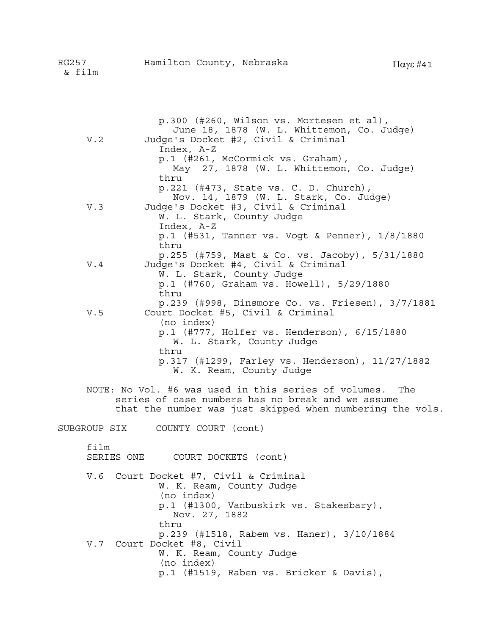| V.2  | p.300 (#260, Wilson vs. Mortesen et al),<br>June 18, 1878 (W. L. Whittemon, Co. Judge)<br>Judge's Docket #2, Civil & Criminal<br>Index, A-Z                                       |
|------|-----------------------------------------------------------------------------------------------------------------------------------------------------------------------------------|
|      | p.1 (#261, McCormick vs. Graham),<br>May 27, 1878 (W. L. Whittemon, Co. Judge)                                                                                                    |
|      | thru<br>p.221 (#473, State vs. C. D. Church),<br>Nov. 14, 1879 (W. L. Stark, Co. Judge)                                                                                           |
| V.3  | Judge's Docket #3, Civil & Criminal<br>W. L. Stark, County Judge<br>Index, A-Z                                                                                                    |
|      | $p.1$ (#531, Tanner vs. Vogt & Penner), $1/8/1880$<br>thru                                                                                                                        |
| V.4  | p.255 (#759, Mast & Co. vs. Jacoby), 5/31/1880<br>Judge's Docket #4, Civil & Criminal                                                                                             |
|      | W. L. Stark, County Judge<br>p.1 (#760, Graham vs. Howell), 5/29/1880<br>thru                                                                                                     |
| V.5  | p.239 (#998, Dinsmore Co. vs. Friesen), 3/7/1881<br>Court Docket #5, Civil & Criminal                                                                                             |
|      | (no index)<br>p.1 (#777, Holfer vs. Henderson), 6/15/1880<br>W. L. Stark, County Judge                                                                                            |
|      | thru<br>p.317 (#1299, Farley vs. Henderson), 11/27/1882<br>W. K. Ream, County Judge                                                                                               |
|      | NOTE: No Vol. #6 was used in this series of volumes.<br>The<br>series of case numbers has no break and we assume<br>that the number was just skipped when numbering the vols.     |
|      | SUBGROUP SIX COUNTY COURT (cont)                                                                                                                                                  |
| film | SERIES ONE<br>COURT DOCKETS (cont)                                                                                                                                                |
| V.6  | Court Docket #7, Civil & Criminal<br>W. K. Ream, County Judge<br>(no index)<br>p.1 (#1300, Vanbuskirk vs. Stakesbary),                                                            |
| V.7  | Nov. 27, 1882<br>thru<br>p.239 (#1518, Rabem vs. Haner), 3/10/1884<br>Court Docket #8, Civil<br>W. K. Ream, County Judge<br>(no index)<br>p.1 (#1519, Raben vs. Bricker & Davis), |
|      |                                                                                                                                                                                   |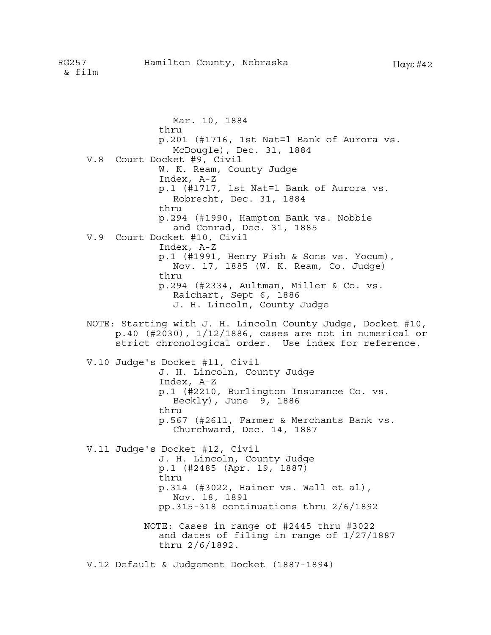Mar. 10, 1884 thru p.201 (#1716, 1st Nat=l Bank of Aurora vs. McDougle), Dec. 31, 1884 V.8 Court Docket #9, Civil W. K. Ream, County Judge Index, A-Z p.1 (#1717, 1st Nat=l Bank of Aurora vs. Robrecht, Dec. 31, 1884 thru p.294 (#1990, Hampton Bank vs. Nobbie and Conrad, Dec. 31, 1885 V.9 Court Docket #10, Civil Index, A-Z p.1 (#1991, Henry Fish & Sons vs. Yocum), Nov. 17, 1885 (W. K. Ream, Co. Judge) thru p.294 (#2334, Aultman, Miller & Co. vs. Raichart, Sept 6, 1886 J. H. Lincoln, County Judge NOTE: Starting with J. H. Lincoln County Judge, Docket #10, p.40 (#2030), 1/12/1886, cases are not in numerical or strict chronological order. Use index for reference. V.10 Judge's Docket #11, Civil J. H. Lincoln, County Judge Index, A-Z p.1 (#2210, Burlington Insurance Co. vs. Beckly), June 9, 1886 thru p.567 (#2611, Farmer & Merchants Bank vs. Churchward, Dec. 14, 1887 V.11 Judge's Docket #12, Civil J. H. Lincoln, County Judge p.1 (#2485 (Apr. 19, 1887) thru p.314 (#3022, Hainer vs. Wall et al), Nov. 18, 1891 pp.315-318 continuations thru 2/6/1892 NOTE: Cases in range of #2445 thru #3022 and dates of filing in range of 1/27/1887 thru 2/6/1892. V.12 Default & Judgement Docket (1887-1894)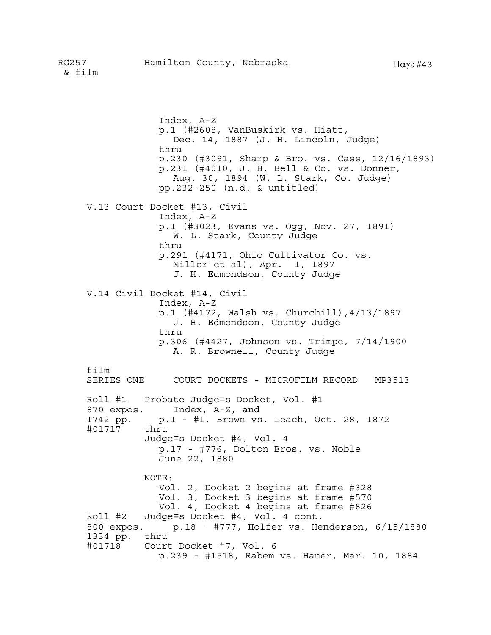Index, A-Z p.1 (#2608, VanBuskirk vs. Hiatt, Dec. 14, 1887 (J. H. Lincoln, Judge) thru p.230 (#3091, Sharp & Bro. vs. Cass, 12/16/1893) p.231 (#4010, J. H. Bell & Co. vs. Donner, Aug. 30, 1894 (W. L. Stark, Co. Judge) pp.232-250 (n.d. & untitled) V.13 Court Docket #13, Civil Index, A-Z p.1 (#3023, Evans vs. Ogg, Nov. 27, 1891) W. L. Stark, County Judge thru p.291 (#4171, Ohio Cultivator Co. vs. Miller et al), Apr. 1, 1897 J. H. Edmondson, County Judge V.14 Civil Docket #14, Civil Index, A-Z p.1 (#4172, Walsh vs. Churchill),4/13/1897 J. H. Edmondson, County Judge thru p.306 (#4427, Johnson vs. Trimpe, 7/14/1900 A. R. Brownell, County Judge film<br>SERIES ONE COURT DOCKETS - MICROFILM RECORD MP3513 Roll #1 Probate Judge=s Docket, Vol. #1 870 expos. Index, A-Z, and 1742 pp. p.1 - #1, Brown vs. Leach, Oct. 28, 1872 #01717 thru Judge=s Docket #4, Vol. 4 p.17 - #776, Dolton Bros. vs. Noble June 22, 1880 NOTE: Vol. 2, Docket 2 begins at frame #328 Vol. 3, Docket 3 begins at frame #570 Vol. 4, Docket 4 begins at frame #826 Roll #2 Judge=s Docket #4, Vol. 4 cont. 800 expos. p.18 - #777, Holfer vs. Henderson, 6/15/1880 1334 pp. thru #01718 Court Docket #7, Vol. 6 p.239 - #1518, Rabem vs. Haner, Mar. 10, 1884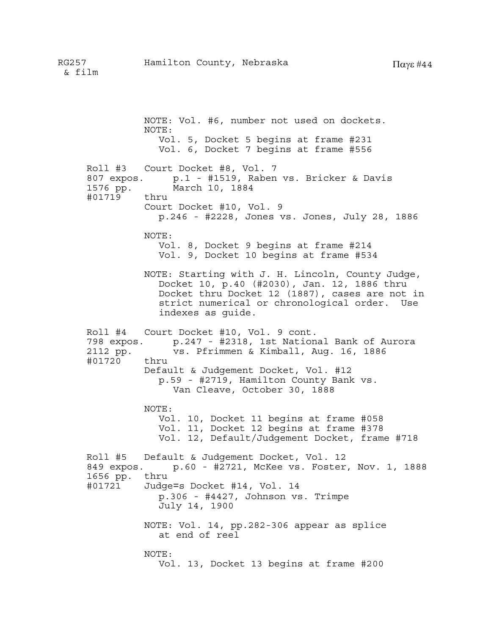NOTE: Vol. #6, number not used on dockets. NOTE: Vol. 5, Docket 5 begins at frame #231 Vol. 6, Docket 7 begins at frame #556 Roll #3 Court Docket #8, Vol. 7 807 expos. p.1 - #1519, Raben vs. Bricker & Davis 1576 pp. March 10, 1884 #01719 thru Court Docket #10, Vol. 9 p.246 - #2228, Jones vs. Jones, July 28, 1886 NOTE: Vol. 8, Docket 9 begins at frame #214 Vol. 9, Docket 10 begins at frame #534 NOTE: Starting with J. H. Lincoln, County Judge, Docket 10, p.40 (#2030), Jan. 12, 1886 thru Docket thru Docket 12 (1887), cases are not in strict numerical or chronological order. Use indexes as guide. Roll #4 Court Docket #10, Vol. 9 cont. 798 expos. p.247 - #2318, 1st National Bank of Aurora 2112 pp. vs. Pfrimmen & Kimball, Aug. 16, 1886 #01720 thru Default & Judgement Docket, Vol. #12 p.59 - #2719, Hamilton County Bank vs. Van Cleave, October 30, 1888 NOTE: Vol. 10, Docket 11 begins at frame #058 Vol. 11, Docket 12 begins at frame #378 Vol. 12, Default/Judgement Docket, frame #718 Roll #5 Default & Judgement Docket, Vol. 12 849 expos. p.60 - #2721, McKee vs. Foster, Nov. 1, 1888 1656 pp. thru #01721 Judge=s Docket #14, Vol. 14 p.306 - #4427, Johnson vs. Trimpe July 14, 1900 NOTE: Vol. 14, pp.282-306 appear as splice at end of reel NOTE: Vol. 13, Docket 13 begins at frame #200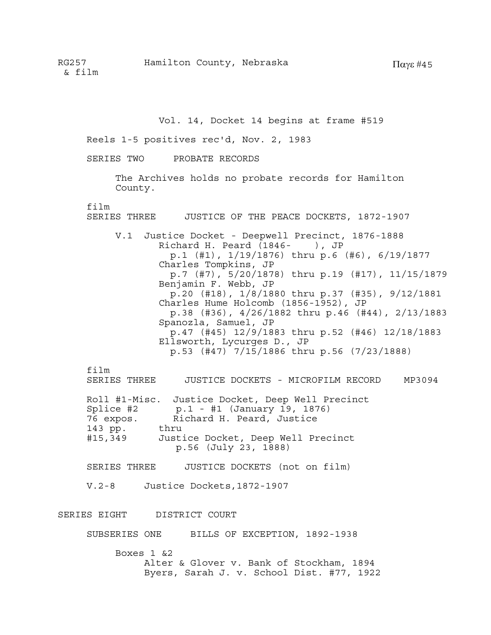Vol. 14, Docket 14 begins at frame #519

Reels 1-5 positives rec'd, Nov. 2, 1983

SERIES TWO PROBATE RECORDS

The Archives holds no probate records for Hamilton County.

film

SERIES THREE JUSTICE OF THE PEACE DOCKETS, 1872-1907 V.1 Justice Docket - Deepwell Precinct, 1876-1888 Richard H. Peard  $(1846 - )$ , JP p.1 (#1), 1/19/1876) thru p.6 (#6), 6/19/1877 Charles Tompkins, JP p.7 (#7), 5/20/1878) thru p.19 (#17), 11/15/1879 Benjamin F. Webb, JP p.20 (#18), 1/8/1880 thru p.37 (#35), 9/12/1881 Charles Hume Holcomb (1856-1952), JP p.38 (#36), 4/26/1882 thru p.46 (#44), 2/13/1883 Spanozla, Samuel, JP p.47 (#45) 12/9/1883 thru p.52 (#46) 12/18/1883 Ellsworth, Lycurges D., JP p.53 (#47) 7/15/1886 thru p.56 (7/23/1888)

film

SERIES THREE JUSTICE DOCKETS - MICROFILM RECORD MP3094

| Roll #1-Misc. | Justice Docket, Deep Well Precinct |
|---------------|------------------------------------|
| Splice #2     | $p.1 - #1$ (January 19, 1876)      |
| 76 expos.     | Richard H. Peard, Justice          |
| 143 pp.       | thru                               |
| #15,349       | Justice Docket, Deep Well Precinct |
|               | p.56 (July 23, 1888)               |

SERIES THREE JUSTICE DOCKETS (not on film)

V.2-8 Justice Dockets,1872-1907

SERIES EIGHT DISTRICT COURT

SUBSERIES ONE BILLS OF EXCEPTION, 1892-1938

Boxes 1 &2 Alter & Glover v. Bank of Stockham, 1894 Byers, Sarah J. v. School Dist. #77, 1922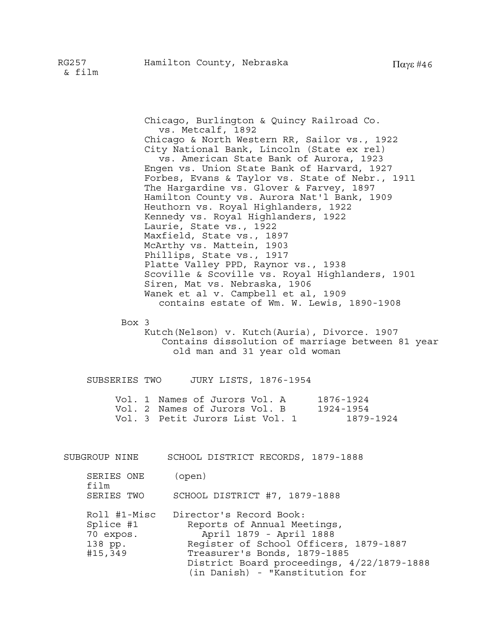Chicago, Burlington & Quincy Railroad Co. vs. Metcalf, 1892 Chicago & North Western RR, Sailor vs., 1922 City National Bank, Lincoln (State ex rel) vs. American State Bank of Aurora, 1923 Engen vs. Union State Bank of Harvard, 1927 Forbes, Evans & Taylor vs. State of Nebr., 1911 The Hargardine vs. Glover & Farvey, 1897 Hamilton County vs. Aurora Nat'l Bank, 1909 Heuthorn vs. Royal Highlanders, 1922 Kennedy vs. Royal Highlanders, 1922 Laurie, State vs., 1922 Maxfield, State vs., 1897 McArthy vs. Mattein, 1903 Phillips, State vs., 1917 Platte Valley PPD, Raynor vs., 1938 Scoville & Scoville vs. Royal Highlanders, 1901 Siren, Mat vs. Nebraska, 1906 Wanek et al v. Campbell et al, 1909 contains estate of Wm. W. Lewis, 1890-1908

Box 3

 Kutch(Nelson) v. Kutch(Auria), Divorce. 1907 Contains dissolution of marriage between 81 year old man and 31 year old woman

SUBSERIES TWO JURY LISTS, 1876-1954

|  | Vol. 1 Names of Jurors Vol. A   | 1876-1924 |
|--|---------------------------------|-----------|
|  | Vol. 2 Names of Jurors Vol. B   | 1924-1954 |
|  | Vol. 3 Petit Jurors List Vol. 1 | 1879-1924 |

SUBGROUP NINE SCHOOL DISTRICT RECORDS, 1879-1888

| SERIES ONE | (open) |
|------------|--------|
| film       |        |

SERIES TWO SCHOOL DISTRICT #7, 1879-1888

| Roll #1-Misc | Director's Record Book:                    |
|--------------|--------------------------------------------|
| Splice #1    | Reports of Annual Meetings,                |
| 70 expos.    | April 1879 - April 1888                    |
| 138 pp.      | Register of School Officers, 1879-1887     |
| #15,349      | Treasurer's Bonds, 1879-1885               |
|              | District Board proceedings, 4/22/1879-1888 |
|              | (in Danish) - "Kanstitution for            |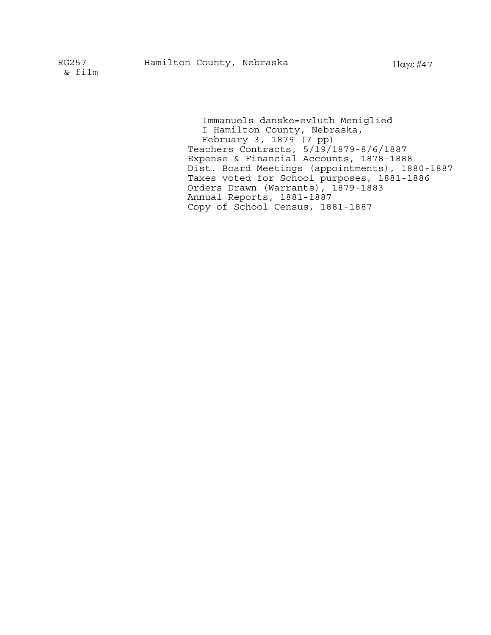Immanuels danske=evluth Meniglied I Hamilton County, Nebraska, February 3, 1879 (7 pp) Teachers Contracts, 5/19/1879-8/6/1887 Expense & Financial Accounts, 1878-1888 Dist. Board Meetings (appointments), 1880-1887 Taxes voted for School purposes, 1881-1886 Orders Drawn (Warrants), 1879-1883 Annual Reports, 1881-1887 Copy of School Census, 1881-1887